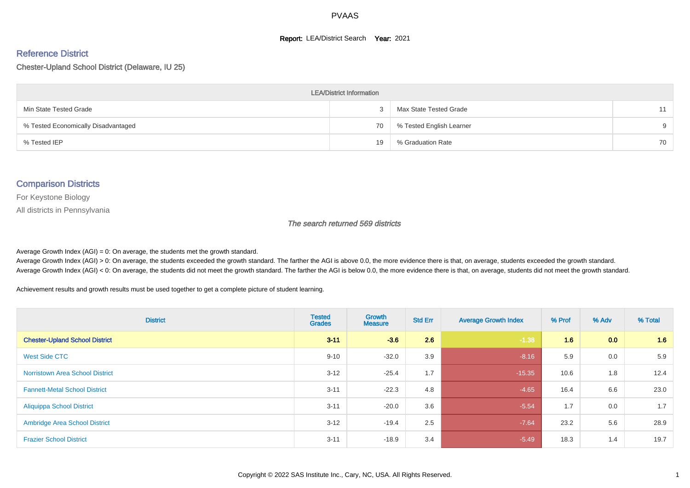#### **Report: LEA/District Search Year: 2021**

#### Reference District

Chester-Upland School District (Delaware, IU 25)

| <b>LEA/District Information</b>     |    |                          |          |  |  |  |  |  |  |
|-------------------------------------|----|--------------------------|----------|--|--|--|--|--|--|
| Min State Tested Grade              |    | Max State Tested Grade   | 11       |  |  |  |  |  |  |
| % Tested Economically Disadvantaged | 70 | % Tested English Learner | $\alpha$ |  |  |  |  |  |  |
| % Tested IEP                        | 19 | % Graduation Rate        | 70       |  |  |  |  |  |  |

#### Comparison Districts

For Keystone Biology

All districts in Pennsylvania

The search returned 569 districts

Average Growth Index  $(AGI) = 0$ : On average, the students met the growth standard.

Average Growth Index (AGI) > 0: On average, the students exceeded the growth standard. The farther the AGI is above 0.0, the more evidence there is that, on average, students exceeded the growth standard. Average Growth Index (AGI) < 0: On average, the students did not meet the growth standard. The farther the AGI is below 0.0, the more evidence there is that, on average, students did not meet the growth standard.

Achievement results and growth results must be used together to get a complete picture of student learning.

| <b>District</b>                        | <b>Tested</b><br><b>Grades</b> | Growth<br><b>Measure</b> | <b>Std Err</b> | <b>Average Growth Index</b> | % Prof | % Adv | % Total |
|----------------------------------------|--------------------------------|--------------------------|----------------|-----------------------------|--------|-------|---------|
| <b>Chester-Upland School District</b>  | $3 - 11$                       | $-3.6$                   | 2.6            | $-1.38$                     | 1.6    | 0.0   | 1.6     |
| West Side CTC                          | $9 - 10$                       | $-32.0$                  | 3.9            | $-8.16$                     | 5.9    | 0.0   | 5.9     |
| <b>Norristown Area School District</b> | $3 - 12$                       | $-25.4$                  | 1.7            | $-15.35$                    | 10.6   | 1.8   | 12.4    |
| <b>Fannett-Metal School District</b>   | $3 - 11$                       | $-22.3$                  | 4.8            | $-4.65$                     | 16.4   | 6.6   | 23.0    |
| <b>Aliquippa School District</b>       | $3 - 11$                       | $-20.0$                  | 3.6            | $-5.54$                     | 1.7    | 0.0   | 1.7     |
| <b>Ambridge Area School District</b>   | $3 - 12$                       | $-19.4$                  | 2.5            | $-7.64$                     | 23.2   | 5.6   | 28.9    |
| <b>Frazier School District</b>         | $3 - 11$                       | $-18.9$                  | 3.4            | $-5.49$                     | 18.3   | 1.4   | 19.7    |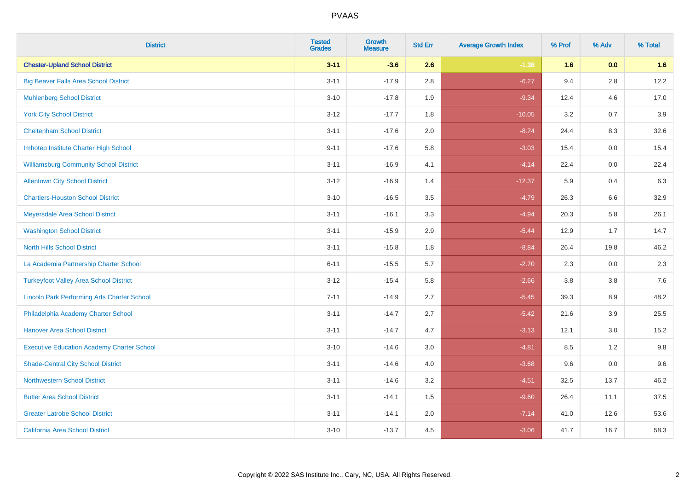| <b>District</b>                                    | <b>Tested</b><br><b>Grades</b> | <b>Growth</b><br><b>Measure</b> | <b>Std Err</b> | <b>Average Growth Index</b> | % Prof | % Adv   | % Total |
|----------------------------------------------------|--------------------------------|---------------------------------|----------------|-----------------------------|--------|---------|---------|
| <b>Chester-Upland School District</b>              | $3 - 11$                       | $-3.6$                          | 2.6            | $-1.38$                     | 1.6    | 0.0     | 1.6     |
| <b>Big Beaver Falls Area School District</b>       | $3 - 11$                       | $-17.9$                         | 2.8            | $-6.27$                     | 9.4    | 2.8     | 12.2    |
| <b>Muhlenberg School District</b>                  | $3 - 10$                       | $-17.8$                         | 1.9            | $-9.34$                     | 12.4   | 4.6     | 17.0    |
| <b>York City School District</b>                   | $3-12$                         | $-17.7$                         | 1.8            | $-10.05$                    | 3.2    | 0.7     | 3.9     |
| <b>Cheltenham School District</b>                  | $3 - 11$                       | $-17.6$                         | 2.0            | $-8.74$                     | 24.4   | 8.3     | 32.6    |
| Imhotep Institute Charter High School              | $9 - 11$                       | $-17.6$                         | 5.8            | $-3.03$                     | 15.4   | 0.0     | 15.4    |
| <b>Williamsburg Community School District</b>      | $3 - 11$                       | $-16.9$                         | 4.1            | $-4.14$                     | 22.4   | $0.0\,$ | 22.4    |
| <b>Allentown City School District</b>              | $3 - 12$                       | $-16.9$                         | 1.4            | $-12.37$                    | 5.9    | 0.4     | 6.3     |
| <b>Chartiers-Houston School District</b>           | $3 - 10$                       | $-16.5$                         | 3.5            | $-4.79$                     | 26.3   | 6.6     | 32.9    |
| Meyersdale Area School District                    | $3 - 11$                       | $-16.1$                         | 3.3            | $-4.94$                     | 20.3   | 5.8     | 26.1    |
| <b>Washington School District</b>                  | $3 - 11$                       | $-15.9$                         | 2.9            | $-5.44$                     | 12.9   | 1.7     | 14.7    |
| <b>North Hills School District</b>                 | $3 - 11$                       | $-15.8$                         | 1.8            | $-8.84$                     | 26.4   | 19.8    | 46.2    |
| La Academia Partnership Charter School             | $6 - 11$                       | $-15.5$                         | 5.7            | $-2.70$                     | 2.3    | 0.0     | 2.3     |
| <b>Turkeyfoot Valley Area School District</b>      | $3 - 12$                       | $-15.4$                         | 5.8            | $-2.66$                     | 3.8    | $3.8\,$ | 7.6     |
| <b>Lincoln Park Performing Arts Charter School</b> | $7 - 11$                       | $-14.9$                         | 2.7            | $-5.45$                     | 39.3   | 8.9     | 48.2    |
| Philadelphia Academy Charter School                | $3 - 11$                       | $-14.7$                         | 2.7            | $-5.42$                     | 21.6   | 3.9     | 25.5    |
| <b>Hanover Area School District</b>                | $3 - 11$                       | $-14.7$                         | 4.7            | $-3.13$                     | 12.1   | 3.0     | 15.2    |
| <b>Executive Education Academy Charter School</b>  | $3 - 10$                       | $-14.6$                         | 3.0            | $-4.81$                     | 8.5    | $1.2$   | 9.8     |
| <b>Shade-Central City School District</b>          | $3 - 11$                       | $-14.6$                         | 4.0            | $-3.68$                     | 9.6    | 0.0     | 9.6     |
| <b>Northwestern School District</b>                | $3 - 11$                       | $-14.6$                         | 3.2            | $-4.51$                     | 32.5   | 13.7    | 46.2    |
| <b>Butler Area School District</b>                 | $3 - 11$                       | $-14.1$                         | 1.5            | $-9.60$                     | 26.4   | 11.1    | 37.5    |
| <b>Greater Latrobe School District</b>             | $3 - 11$                       | $-14.1$                         | 2.0            | $-7.14$                     | 41.0   | 12.6    | 53.6    |
| <b>California Area School District</b>             | $3 - 10$                       | $-13.7$                         | 4.5            | $-3.06$                     | 41.7   | 16.7    | 58.3    |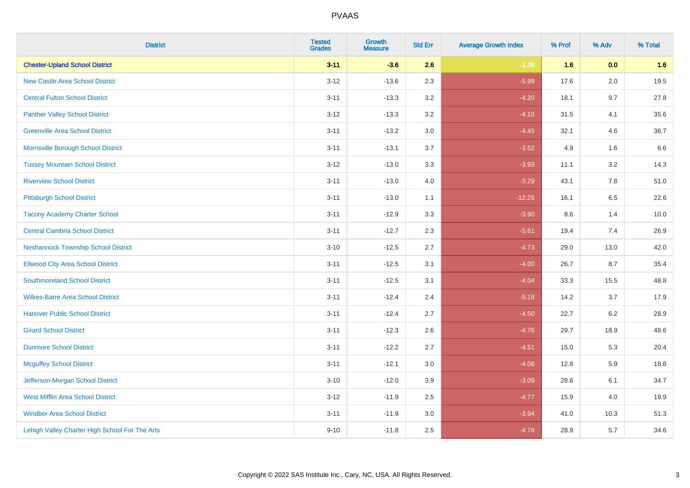| <b>District</b>                                | <b>Tested</b><br><b>Grades</b> | <b>Growth</b><br><b>Measure</b> | <b>Std Err</b> | <b>Average Growth Index</b> | % Prof | % Adv   | % Total |
|------------------------------------------------|--------------------------------|---------------------------------|----------------|-----------------------------|--------|---------|---------|
| <b>Chester-Upland School District</b>          | $3 - 11$                       | $-3.6$                          | 2.6            | $-1.38$                     | 1.6    | 0.0     | 1.6     |
| <b>New Castle Area School District</b>         | $3 - 12$                       | $-13.6$                         | 2.3            | $-5.99$                     | 17.6   | 2.0     | 19.5    |
| <b>Central Fulton School District</b>          | $3 - 11$                       | $-13.3$                         | 3.2            | $-4.20$                     | 18.1   | 9.7     | 27.8    |
| <b>Panther Valley School District</b>          | $3-12$                         | $-13.3$                         | 3.2            | $-4.10$                     | 31.5   | 4.1     | 35.6    |
| <b>Greenville Area School District</b>         | $3 - 11$                       | $-13.2$                         | 3.0            | $-4.45$                     | 32.1   | 4.6     | 36.7    |
| Morrisville Borough School District            | $3 - 11$                       | $-13.1$                         | 3.7            | $-3.52$                     | 4.9    | 1.6     | 6.6     |
| <b>Tussey Mountain School District</b>         | $3 - 12$                       | $-13.0$                         | 3.3            | $-3.93$                     | 11.1   | $3.2\,$ | 14.3    |
| <b>Riverview School District</b>               | $3 - 11$                       | $-13.0$                         | 4.0            | $-3.29$                     | 43.1   | 7.8     | 51.0    |
| <b>Pittsburgh School District</b>              | $3 - 11$                       | $-13.0$                         | 1.1            | $-12.25$                    | 16.1   | 6.5     | 22.6    |
| <b>Tacony Academy Charter School</b>           | $3 - 11$                       | $-12.9$                         | 3.3            | $-3.90$                     | 8.6    | 1.4     | 10.0    |
| <b>Central Cambria School District</b>         | $3 - 11$                       | $-12.7$                         | 2.3            | $-5.61$                     | 19.4   | 7.4     | 26.9    |
| <b>Neshannock Township School District</b>     | $3 - 10$                       | $-12.5$                         | 2.7            | $-4.73$                     | 29.0   | 13.0    | 42.0    |
| <b>Ellwood City Area School District</b>       | $3 - 11$                       | $-12.5$                         | 3.1            | $-4.00$                     | 26.7   | 8.7     | 35.4    |
| <b>Southmoreland School District</b>           | $3 - 11$                       | $-12.5$                         | 3.1            | $-4.04$                     | 33.3   | 15.5    | 48.8    |
| <b>Wilkes-Barre Area School District</b>       | $3 - 11$                       | $-12.4$                         | 2.4            | $-5.18$                     | 14.2   | 3.7     | 17.9    |
| <b>Hanover Public School District</b>          | $3 - 11$                       | $-12.4$                         | 2.7            | $-4.50$                     | 22.7   | 6.2     | 28.9    |
| <b>Girard School District</b>                  | $3 - 11$                       | $-12.3$                         | 2.6            | $-4.76$                     | 29.7   | 18.9    | 48.6    |
| <b>Dunmore School District</b>                 | $3 - 11$                       | $-12.2$                         | 2.7            | $-4.51$                     | 15.0   | 5.3     | 20.4    |
| <b>Mcguffey School District</b>                | $3 - 11$                       | $-12.1$                         | 3.0            | $-4.06$                     | 12.8   | 5.9     | 18.6    |
| Jefferson-Morgan School District               | $3 - 10$                       | $-12.0$                         | 3.9            | $-3.09$                     | 28.6   | 6.1     | 34.7    |
| West Mifflin Area School District              | $3-12$                         | $-11.9$                         | 2.5            | $-4.77$                     | 15.9   | 4.0     | 19.9    |
| <b>Windber Area School District</b>            | $3 - 11$                       | $-11.9$                         | 3.0            | $-3.94$                     | 41.0   | 10.3    | 51.3    |
| Lehigh Valley Charter High School For The Arts | $9 - 10$                       | $-11.8$                         | 2.5            | $-4.76$                     | 28.9   | 5.7     | 34.6    |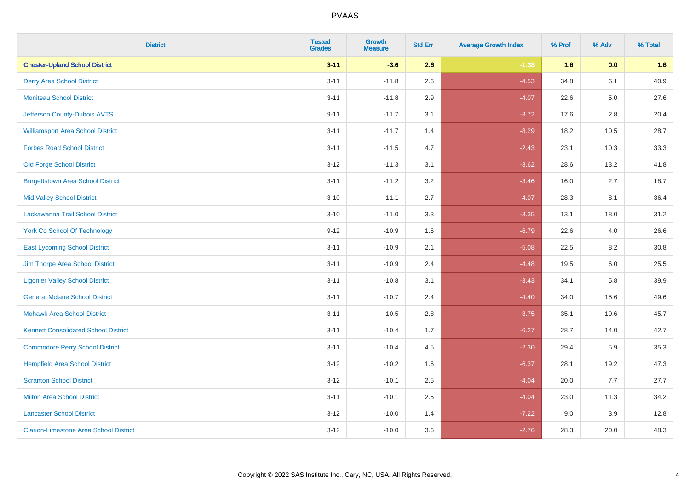| <b>District</b>                               | <b>Tested</b><br><b>Grades</b> | <b>Growth</b><br><b>Measure</b> | <b>Std Err</b> | <b>Average Growth Index</b> | % Prof | % Adv   | % Total |
|-----------------------------------------------|--------------------------------|---------------------------------|----------------|-----------------------------|--------|---------|---------|
| <b>Chester-Upland School District</b>         | $3 - 11$                       | $-3.6$                          | 2.6            | $-1.38$                     | 1.6    | 0.0     | 1.6     |
| <b>Derry Area School District</b>             | $3 - 11$                       | $-11.8$                         | 2.6            | $-4.53$                     | 34.8   | 6.1     | 40.9    |
| <b>Moniteau School District</b>               | $3 - 11$                       | $-11.8$                         | 2.9            | $-4.07$                     | 22.6   | $5.0\,$ | 27.6    |
| Jefferson County-Dubois AVTS                  | $9 - 11$                       | $-11.7$                         | 3.1            | $-3.72$                     | 17.6   | 2.8     | 20.4    |
| <b>Williamsport Area School District</b>      | $3 - 11$                       | $-11.7$                         | 1.4            | $-8.29$                     | 18.2   | 10.5    | 28.7    |
| <b>Forbes Road School District</b>            | $3 - 11$                       | $-11.5$                         | 4.7            | $-2.43$                     | 23.1   | 10.3    | 33.3    |
| <b>Old Forge School District</b>              | $3 - 12$                       | $-11.3$                         | 3.1            | $-3.62$                     | 28.6   | 13.2    | 41.8    |
| <b>Burgettstown Area School District</b>      | $3 - 11$                       | $-11.2$                         | 3.2            | $-3.46$                     | 16.0   | 2.7     | 18.7    |
| <b>Mid Valley School District</b>             | $3 - 10$                       | $-11.1$                         | 2.7            | $-4.07$                     | 28.3   | 8.1     | 36.4    |
| Lackawanna Trail School District              | $3 - 10$                       | $-11.0$                         | 3.3            | $-3.35$                     | 13.1   | 18.0    | 31.2    |
| <b>York Co School Of Technology</b>           | $9 - 12$                       | $-10.9$                         | 1.6            | $-6.79$                     | 22.6   | 4.0     | 26.6    |
| <b>East Lycoming School District</b>          | $3 - 11$                       | $-10.9$                         | 2.1            | $-5.08$                     | 22.5   | 8.2     | 30.8    |
| Jim Thorpe Area School District               | $3 - 11$                       | $-10.9$                         | 2.4            | $-4.48$                     | 19.5   | $6.0\,$ | 25.5    |
| <b>Ligonier Valley School District</b>        | $3 - 11$                       | $-10.8$                         | 3.1            | $-3.43$                     | 34.1   | 5.8     | 39.9    |
| <b>General Mclane School District</b>         | $3 - 11$                       | $-10.7$                         | 2.4            | $-4.40$                     | 34.0   | 15.6    | 49.6    |
| <b>Mohawk Area School District</b>            | $3 - 11$                       | $-10.5$                         | 2.8            | $-3.75$                     | 35.1   | 10.6    | 45.7    |
| <b>Kennett Consolidated School District</b>   | $3 - 11$                       | $-10.4$                         | 1.7            | $-6.27$                     | 28.7   | 14.0    | 42.7    |
| <b>Commodore Perry School District</b>        | $3 - 11$                       | $-10.4$                         | 4.5            | $-2.30$                     | 29.4   | 5.9     | 35.3    |
| <b>Hempfield Area School District</b>         | $3 - 12$                       | $-10.2$                         | 1.6            | $-6.37$                     | 28.1   | 19.2    | 47.3    |
| <b>Scranton School District</b>               | $3 - 12$                       | $-10.1$                         | 2.5            | $-4.04$                     | 20.0   | 7.7     | 27.7    |
| <b>Milton Area School District</b>            | $3 - 11$                       | $-10.1$                         | 2.5            | $-4.04$                     | 23.0   | 11.3    | 34.2    |
| <b>Lancaster School District</b>              | $3 - 12$                       | $-10.0$                         | 1.4            | $-7.22$                     | 9.0    | 3.9     | 12.8    |
| <b>Clarion-Limestone Area School District</b> | $3 - 12$                       | $-10.0$                         | 3.6            | $-2.76$                     | 28.3   | 20.0    | 48.3    |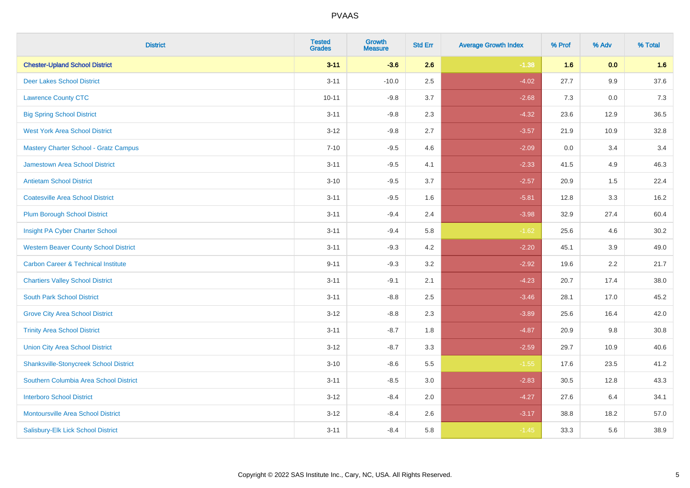| <b>District</b>                                | <b>Tested</b><br><b>Grades</b> | <b>Growth</b><br><b>Measure</b> | <b>Std Err</b> | <b>Average Growth Index</b> | % Prof | % Adv   | % Total |
|------------------------------------------------|--------------------------------|---------------------------------|----------------|-----------------------------|--------|---------|---------|
| <b>Chester-Upland School District</b>          | $3 - 11$                       | $-3.6$                          | 2.6            | $-1.38$                     | 1.6    | 0.0     | 1.6     |
| <b>Deer Lakes School District</b>              | $3 - 11$                       | $-10.0$                         | 2.5            | $-4.02$                     | 27.7   | 9.9     | 37.6    |
| <b>Lawrence County CTC</b>                     | $10 - 11$                      | $-9.8$                          | 3.7            | $-2.68$                     | 7.3    | $0.0\,$ | 7.3     |
| <b>Big Spring School District</b>              | $3 - 11$                       | $-9.8$                          | 2.3            | $-4.32$                     | 23.6   | 12.9    | 36.5    |
| <b>West York Area School District</b>          | $3 - 12$                       | $-9.8$                          | 2.7            | $-3.57$                     | 21.9   | 10.9    | 32.8    |
| Mastery Charter School - Gratz Campus          | $7 - 10$                       | $-9.5$                          | 4.6            | $-2.09$                     | 0.0    | 3.4     | 3.4     |
| Jamestown Area School District                 | $3 - 11$                       | $-9.5$                          | 4.1            | $-2.33$                     | 41.5   | 4.9     | 46.3    |
| <b>Antietam School District</b>                | $3 - 10$                       | $-9.5$                          | 3.7            | $-2.57$                     | 20.9   | 1.5     | 22.4    |
| <b>Coatesville Area School District</b>        | $3 - 11$                       | $-9.5$                          | 1.6            | $-5.81$                     | 12.8   | 3.3     | 16.2    |
| <b>Plum Borough School District</b>            | $3 - 11$                       | $-9.4$                          | 2.4            | $-3.98$                     | 32.9   | 27.4    | 60.4    |
| Insight PA Cyber Charter School                | $3 - 11$                       | $-9.4$                          | 5.8            | $-1.62$                     | 25.6   | 4.6     | 30.2    |
| <b>Western Beaver County School District</b>   | $3 - 11$                       | $-9.3$                          | 4.2            | $-2.20$                     | 45.1   | 3.9     | 49.0    |
| <b>Carbon Career &amp; Technical Institute</b> | $9 - 11$                       | $-9.3$                          | 3.2            | $-2.92$                     | 19.6   | 2.2     | 21.7    |
| <b>Chartiers Valley School District</b>        | $3 - 11$                       | $-9.1$                          | 2.1            | $-4.23$                     | 20.7   | 17.4    | 38.0    |
| <b>South Park School District</b>              | $3 - 11$                       | $-8.8$                          | 2.5            | $-3.46$                     | 28.1   | 17.0    | 45.2    |
| <b>Grove City Area School District</b>         | $3 - 12$                       | $-8.8$                          | 2.3            | $-3.89$                     | 25.6   | 16.4    | 42.0    |
| <b>Trinity Area School District</b>            | $3 - 11$                       | $-8.7$                          | 1.8            | $-4.87$                     | 20.9   | 9.8     | 30.8    |
| <b>Union City Area School District</b>         | $3 - 12$                       | $-8.7$                          | 3.3            | $-2.59$                     | 29.7   | 10.9    | 40.6    |
| <b>Shanksville-Stonycreek School District</b>  | $3 - 10$                       | $-8.6$                          | 5.5            | $-1.55$                     | 17.6   | 23.5    | 41.2    |
| Southern Columbia Area School District         | $3 - 11$                       | $-8.5$                          | 3.0            | $-2.83$                     | 30.5   | 12.8    | 43.3    |
| <b>Interboro School District</b>               | $3-12$                         | $-8.4$                          | 2.0            | $-4.27$                     | 27.6   | 6.4     | 34.1    |
| <b>Montoursville Area School District</b>      | $3 - 12$                       | $-8.4$                          | 2.6            | $-3.17$                     | 38.8   | 18.2    | 57.0    |
| Salisbury-Elk Lick School District             | $3 - 11$                       | $-8.4$                          | 5.8            | $-1.45$                     | 33.3   | 5.6     | 38.9    |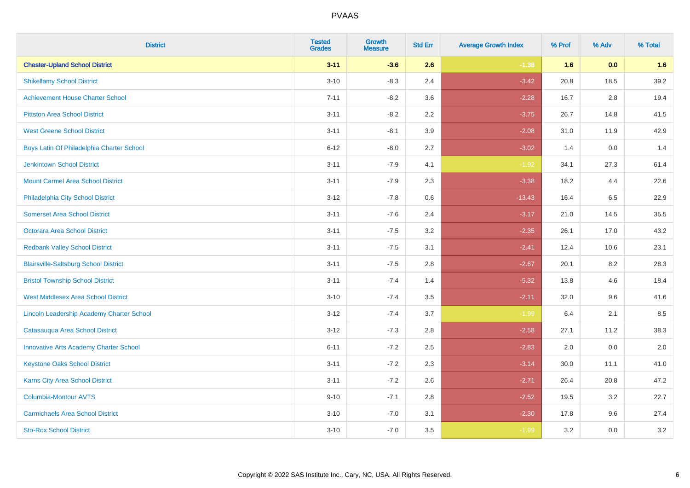| <b>District</b>                                  | <b>Tested</b><br><b>Grades</b> | <b>Growth</b><br><b>Measure</b> | <b>Std Err</b> | <b>Average Growth Index</b> | % Prof | % Adv   | % Total |
|--------------------------------------------------|--------------------------------|---------------------------------|----------------|-----------------------------|--------|---------|---------|
| <b>Chester-Upland School District</b>            | $3 - 11$                       | $-3.6$                          | 2.6            | $-1.38$                     | 1.6    | 0.0     | 1.6     |
| <b>Shikellamy School District</b>                | $3 - 10$                       | $-8.3$                          | 2.4            | $-3.42$                     | 20.8   | 18.5    | 39.2    |
| <b>Achievement House Charter School</b>          | $7 - 11$                       | $-8.2$                          | 3.6            | $-2.28$                     | 16.7   | 2.8     | 19.4    |
| <b>Pittston Area School District</b>             | $3 - 11$                       | $-8.2$                          | 2.2            | $-3.75$                     | 26.7   | 14.8    | 41.5    |
| <b>West Greene School District</b>               | $3 - 11$                       | $-8.1$                          | 3.9            | $-2.08$                     | 31.0   | 11.9    | 42.9    |
| Boys Latin Of Philadelphia Charter School        | $6 - 12$                       | $-8.0$                          | 2.7            | $-3.02$                     | 1.4    | 0.0     | 1.4     |
| <b>Jenkintown School District</b>                | $3 - 11$                       | $-7.9$                          | 4.1            | $-1.92$                     | 34.1   | 27.3    | 61.4    |
| <b>Mount Carmel Area School District</b>         | $3 - 11$                       | $-7.9$                          | 2.3            | $-3.38$                     | 18.2   | 4.4     | 22.6    |
| Philadelphia City School District                | $3 - 12$                       | $-7.8$                          | 0.6            | $-13.43$                    | 16.4   | 6.5     | 22.9    |
| <b>Somerset Area School District</b>             | $3 - 11$                       | $-7.6$                          | 2.4            | $-3.17$                     | 21.0   | 14.5    | 35.5    |
| Octorara Area School District                    | $3 - 11$                       | $-7.5$                          | 3.2            | $-2.35$                     | 26.1   | 17.0    | 43.2    |
| <b>Redbank Valley School District</b>            | $3 - 11$                       | $-7.5$                          | 3.1            | $-2.41$                     | 12.4   | 10.6    | 23.1    |
| <b>Blairsville-Saltsburg School District</b>     | $3 - 11$                       | $-7.5$                          | 2.8            | $-2.67$                     | 20.1   | $8.2\,$ | 28.3    |
| <b>Bristol Township School District</b>          | $3 - 11$                       | $-7.4$                          | 1.4            | $-5.32$                     | 13.8   | 4.6     | 18.4    |
| <b>West Middlesex Area School District</b>       | $3 - 10$                       | $-7.4$                          | 3.5            | $-2.11$                     | 32.0   | 9.6     | 41.6    |
| <b>Lincoln Leadership Academy Charter School</b> | $3 - 12$                       | $-7.4$                          | 3.7            | $-1.99$                     | 6.4    | 2.1     | 8.5     |
| Catasauqua Area School District                  | $3 - 12$                       | $-7.3$                          | 2.8            | $-2.58$                     | 27.1   | 11.2    | 38.3    |
| <b>Innovative Arts Academy Charter School</b>    | $6 - 11$                       | $-7.2$                          | 2.5            | $-2.83$                     | 2.0    | 0.0     | 2.0     |
| <b>Keystone Oaks School District</b>             | $3 - 11$                       | $-7.2$                          | 2.3            | $-3.14$                     | 30.0   | 11.1    | 41.0    |
| Karns City Area School District                  | $3 - 11$                       | $-7.2$                          | 2.6            | $-2.71$                     | 26.4   | 20.8    | 47.2    |
| Columbia-Montour AVTS                            | $9 - 10$                       | $-7.1$                          | 2.8            | $-2.52$                     | 19.5   | 3.2     | 22.7    |
| <b>Carmichaels Area School District</b>          | $3 - 10$                       | $-7.0$                          | 3.1            | $-2.30$                     | 17.8   | 9.6     | 27.4    |
| <b>Sto-Rox School District</b>                   | $3 - 10$                       | $-7.0$                          | 3.5            | $-1.99$                     | 3.2    | 0.0     | 3.2     |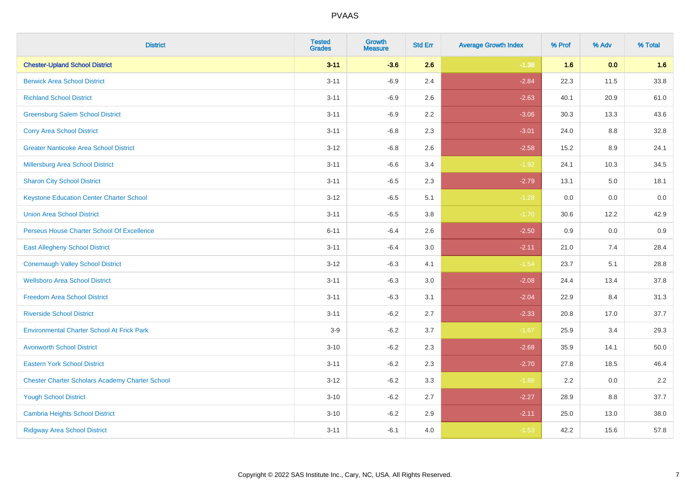| <b>District</b>                                        | <b>Tested</b><br><b>Grades</b> | <b>Growth</b><br><b>Measure</b> | <b>Std Err</b> | <b>Average Growth Index</b> | % Prof | % Adv   | % Total  |
|--------------------------------------------------------|--------------------------------|---------------------------------|----------------|-----------------------------|--------|---------|----------|
| <b>Chester-Upland School District</b>                  | $3 - 11$                       | $-3.6$                          | 2.6            | $-1.38$                     | 1.6    | 0.0     | 1.6      |
| <b>Berwick Area School District</b>                    | $3 - 11$                       | $-6.9$                          | 2.4            | $-2.84$                     | 22.3   | 11.5    | 33.8     |
| <b>Richland School District</b>                        | $3 - 11$                       | $-6.9$                          | 2.6            | $-2.63$                     | 40.1   | 20.9    | 61.0     |
| <b>Greensburg Salem School District</b>                | $3 - 11$                       | $-6.9$                          | 2.2            | $-3.06$                     | 30.3   | 13.3    | 43.6     |
| <b>Corry Area School District</b>                      | $3 - 11$                       | $-6.8$                          | 2.3            | $-3.01$                     | 24.0   | 8.8     | 32.8     |
| <b>Greater Nanticoke Area School District</b>          | $3 - 12$                       | $-6.8$                          | 2.6            | $-2.58$                     | 15.2   | $8.9\,$ | 24.1     |
| Millersburg Area School District                       | $3 - 11$                       | $-6.6$                          | 3.4            | $-1.92$                     | 24.1   | 10.3    | 34.5     |
| <b>Sharon City School District</b>                     | $3 - 11$                       | $-6.5$                          | 2.3            | $-2.79$                     | 13.1   | 5.0     | 18.1     |
| <b>Keystone Education Center Charter School</b>        | $3 - 12$                       | $-6.5$                          | 5.1            | $-1.28$                     | 0.0    | 0.0     | $0.0\,$  |
| <b>Union Area School District</b>                      | $3 - 11$                       | $-6.5$                          | 3.8            | $-1.70$                     | 30.6   | 12.2    | 42.9     |
| Perseus House Charter School Of Excellence             | $6 - 11$                       | $-6.4$                          | 2.6            | $-2.50$                     | 0.9    | 0.0     | 0.9      |
| <b>East Allegheny School District</b>                  | $3 - 11$                       | $-6.4$                          | 3.0            | $-2.11$                     | 21.0   | 7.4     | 28.4     |
| <b>Conemaugh Valley School District</b>                | $3 - 12$                       | $-6.3$                          | 4.1            | $-1.54$                     | 23.7   | 5.1     | 28.8     |
| <b>Wellsboro Area School District</b>                  | $3 - 11$                       | $-6.3$                          | 3.0            | $-2.08$                     | 24.4   | 13.4    | 37.8     |
| <b>Freedom Area School District</b>                    | $3 - 11$                       | $-6.3$                          | 3.1            | $-2.04$                     | 22.9   | 8.4     | 31.3     |
| <b>Riverside School District</b>                       | $3 - 11$                       | $-6.2$                          | 2.7            | $-2.33$                     | 20.8   | 17.0    | 37.7     |
| <b>Environmental Charter School At Frick Park</b>      | $3-9$                          | $-6.2$                          | 3.7            | $-1.67$                     | 25.9   | 3.4     | 29.3     |
| <b>Avonworth School District</b>                       | $3 - 10$                       | $-6.2$                          | 2.3            | $-2.68$                     | 35.9   | 14.1    | $50.0\,$ |
| <b>Eastern York School District</b>                    | $3 - 11$                       | $-6.2$                          | 2.3            | $-2.70$                     | 27.8   | 18.5    | 46.4     |
| <b>Chester Charter Scholars Academy Charter School</b> | $3 - 12$                       | $-6.2$                          | 3.3            | $-1.88$                     | 2.2    | 0.0     | 2.2      |
| <b>Yough School District</b>                           | $3 - 10$                       | $-6.2$                          | 2.7            | $-2.27$                     | 28.9   | 8.8     | 37.7     |
| <b>Cambria Heights School District</b>                 | $3 - 10$                       | $-6.2$                          | 2.9            | $-2.11$                     | 25.0   | 13.0    | 38.0     |
| <b>Ridgway Area School District</b>                    | $3 - 11$                       | $-6.1$                          | 4.0            | $-1.53$                     | 42.2   | 15.6    | 57.8     |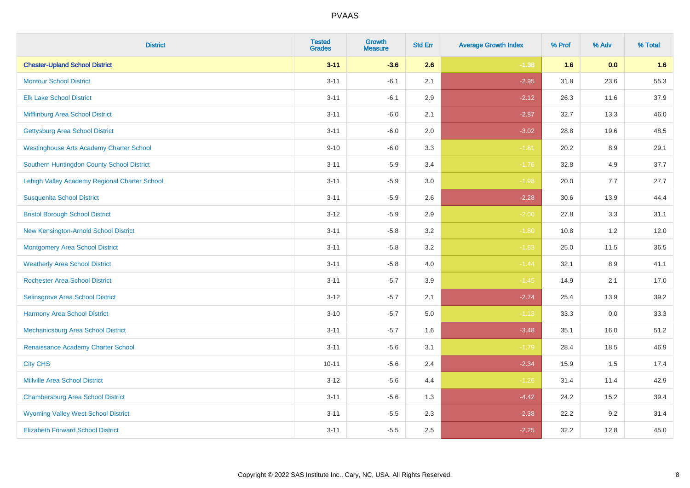| <b>District</b>                                 | <b>Tested</b><br><b>Grades</b> | <b>Growth</b><br><b>Measure</b> | <b>Std Err</b> | <b>Average Growth Index</b> | % Prof | % Adv   | % Total |
|-------------------------------------------------|--------------------------------|---------------------------------|----------------|-----------------------------|--------|---------|---------|
| <b>Chester-Upland School District</b>           | $3 - 11$                       | $-3.6$                          | 2.6            | $-1.38$                     | 1.6    | 0.0     | 1.6     |
| <b>Montour School District</b>                  | $3 - 11$                       | $-6.1$                          | 2.1            | $-2.95$                     | 31.8   | 23.6    | 55.3    |
| <b>Elk Lake School District</b>                 | $3 - 11$                       | $-6.1$                          | 2.9            | $-2.12$                     | 26.3   | 11.6    | 37.9    |
| Mifflinburg Area School District                | $3 - 11$                       | $-6.0$                          | 2.1            | $-2.87$                     | 32.7   | 13.3    | 46.0    |
| <b>Gettysburg Area School District</b>          | $3 - 11$                       | $-6.0$                          | 2.0            | $-3.02$                     | 28.8   | 19.6    | 48.5    |
| <b>Westinghouse Arts Academy Charter School</b> | $9 - 10$                       | $-6.0$                          | 3.3            | $-1.81$                     | 20.2   | 8.9     | 29.1    |
| Southern Huntingdon County School District      | $3 - 11$                       | $-5.9$                          | 3.4            | $-1.76$                     | 32.8   | 4.9     | 37.7    |
| Lehigh Valley Academy Regional Charter School   | $3 - 11$                       | $-5.9$                          | 3.0            | $-1.98$                     | 20.0   | 7.7     | 27.7    |
| <b>Susquenita School District</b>               | $3 - 11$                       | $-5.9$                          | 2.6            | $-2.28$                     | 30.6   | 13.9    | 44.4    |
| <b>Bristol Borough School District</b>          | $3 - 12$                       | $-5.9$                          | 2.9            | $-2.00$                     | 27.8   | 3.3     | 31.1    |
| New Kensington-Arnold School District           | $3 - 11$                       | $-5.8$                          | 3.2            | $-1.80$                     | 10.8   | 1.2     | 12.0    |
| <b>Montgomery Area School District</b>          | $3 - 11$                       | $-5.8$                          | 3.2            | $-1.83$                     | 25.0   | 11.5    | 36.5    |
| <b>Weatherly Area School District</b>           | $3 - 11$                       | $-5.8$                          | 4.0            | $-1.44$                     | 32.1   | $8.9\,$ | 41.1    |
| <b>Rochester Area School District</b>           | $3 - 11$                       | $-5.7$                          | 3.9            | $-1.45$                     | 14.9   | 2.1     | 17.0    |
| Selinsgrove Area School District                | $3 - 12$                       | $-5.7$                          | 2.1            | $-2.74$                     | 25.4   | 13.9    | 39.2    |
| <b>Harmony Area School District</b>             | $3 - 10$                       | $-5.7$                          | $5.0\,$        | $-1.13$                     | 33.3   | $0.0\,$ | 33.3    |
| Mechanicsburg Area School District              | $3 - 11$                       | $-5.7$                          | 1.6            | $-3.48$                     | 35.1   | 16.0    | 51.2    |
| Renaissance Academy Charter School              | $3 - 11$                       | $-5.6$                          | 3.1            | $-1.79$                     | 28.4   | 18.5    | 46.9    |
| <b>City CHS</b>                                 | $10 - 11$                      | $-5.6$                          | 2.4            | $-2.34$                     | 15.9   | 1.5     | 17.4    |
| <b>Millville Area School District</b>           | $3 - 12$                       | $-5.6$                          | 4.4            | $-1.26$                     | 31.4   | 11.4    | 42.9    |
| <b>Chambersburg Area School District</b>        | $3 - 11$                       | $-5.6$                          | 1.3            | $-4.42$                     | 24.2   | 15.2    | 39.4    |
| <b>Wyoming Valley West School District</b>      | $3 - 11$                       | $-5.5$                          | 2.3            | $-2.38$                     | 22.2   | 9.2     | 31.4    |
| <b>Elizabeth Forward School District</b>        | $3 - 11$                       | $-5.5$                          | 2.5            | $-2.25$                     | 32.2   | 12.8    | 45.0    |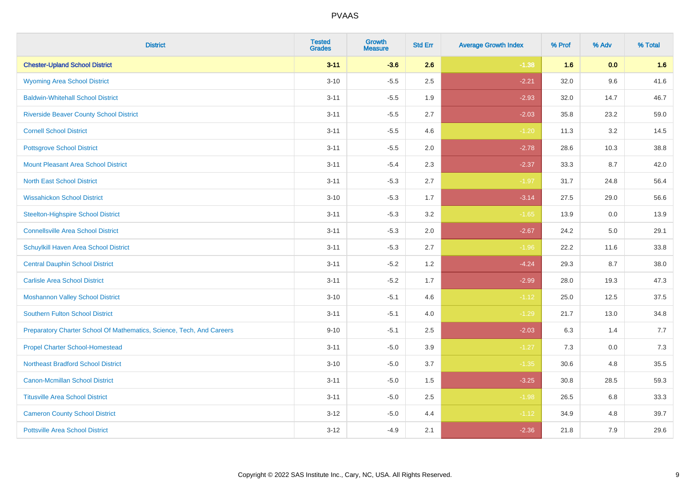| <b>District</b>                                                       | <b>Tested</b><br><b>Grades</b> | <b>Growth</b><br><b>Measure</b> | <b>Std Err</b> | <b>Average Growth Index</b> | % Prof | % Adv | % Total |
|-----------------------------------------------------------------------|--------------------------------|---------------------------------|----------------|-----------------------------|--------|-------|---------|
| <b>Chester-Upland School District</b>                                 | $3 - 11$                       | $-3.6$                          | 2.6            | $-1.38$                     | 1.6    | 0.0   | 1.6     |
| <b>Wyoming Area School District</b>                                   | $3 - 10$                       | $-5.5$                          | 2.5            | $-2.21$                     | 32.0   | 9.6   | 41.6    |
| <b>Baldwin-Whitehall School District</b>                              | $3 - 11$                       | $-5.5$                          | 1.9            | $-2.93$                     | 32.0   | 14.7  | 46.7    |
| <b>Riverside Beaver County School District</b>                        | $3 - 11$                       | $-5.5$                          | 2.7            | $-2.03$                     | 35.8   | 23.2  | 59.0    |
| <b>Cornell School District</b>                                        | $3 - 11$                       | $-5.5$                          | 4.6            | $-1.20$                     | 11.3   | 3.2   | 14.5    |
| <b>Pottsgrove School District</b>                                     | $3 - 11$                       | $-5.5$                          | 2.0            | $-2.78$                     | 28.6   | 10.3  | 38.8    |
| <b>Mount Pleasant Area School District</b>                            | $3 - 11$                       | $-5.4$                          | 2.3            | $-2.37$                     | 33.3   | 8.7   | 42.0    |
| <b>North East School District</b>                                     | $3 - 11$                       | $-5.3$                          | 2.7            | $-1.97$                     | 31.7   | 24.8  | 56.4    |
| <b>Wissahickon School District</b>                                    | $3 - 10$                       | $-5.3$                          | 1.7            | $-3.14$                     | 27.5   | 29.0  | 56.6    |
| <b>Steelton-Highspire School District</b>                             | $3 - 11$                       | $-5.3$                          | 3.2            | $-1.65$                     | 13.9   | 0.0   | 13.9    |
| <b>Connellsville Area School District</b>                             | $3 - 11$                       | $-5.3$                          | 2.0            | $-2.67$                     | 24.2   | 5.0   | 29.1    |
| Schuylkill Haven Area School District                                 | $3 - 11$                       | $-5.3$                          | 2.7            | $-1.96$                     | 22.2   | 11.6  | 33.8    |
| <b>Central Dauphin School District</b>                                | $3 - 11$                       | $-5.2$                          | 1.2            | $-4.24$                     | 29.3   | 8.7   | 38.0    |
| <b>Carlisle Area School District</b>                                  | $3 - 11$                       | $-5.2$                          | 1.7            | $-2.99$                     | 28.0   | 19.3  | 47.3    |
| <b>Moshannon Valley School District</b>                               | $3 - 10$                       | $-5.1$                          | 4.6            | $-1.12$                     | 25.0   | 12.5  | 37.5    |
| <b>Southern Fulton School District</b>                                | $3 - 11$                       | $-5.1$                          | 4.0            | $-1.29$                     | 21.7   | 13.0  | 34.8    |
| Preparatory Charter School Of Mathematics, Science, Tech, And Careers | $9 - 10$                       | $-5.1$                          | 2.5            | $-2.03$                     | 6.3    | 1.4   | 7.7     |
| <b>Propel Charter School-Homestead</b>                                | $3 - 11$                       | $-5.0$                          | 3.9            | $-1.27$                     | 7.3    | 0.0   | 7.3     |
| <b>Northeast Bradford School District</b>                             | $3 - 10$                       | $-5.0$                          | 3.7            | $-1.35$                     | 30.6   | 4.8   | 35.5    |
| <b>Canon-Mcmillan School District</b>                                 | $3 - 11$                       | $-5.0$                          | 1.5            | $-3.25$                     | 30.8   | 28.5  | 59.3    |
| <b>Titusville Area School District</b>                                | $3 - 11$                       | $-5.0$                          | 2.5            | $-1.98$                     | 26.5   | 6.8   | 33.3    |
| <b>Cameron County School District</b>                                 | $3 - 12$                       | $-5.0$                          | 4.4            | $-1.12$                     | 34.9   | 4.8   | 39.7    |
| <b>Pottsville Area School District</b>                                | $3 - 12$                       | $-4.9$                          | 2.1            | $-2.36$                     | 21.8   | 7.9   | 29.6    |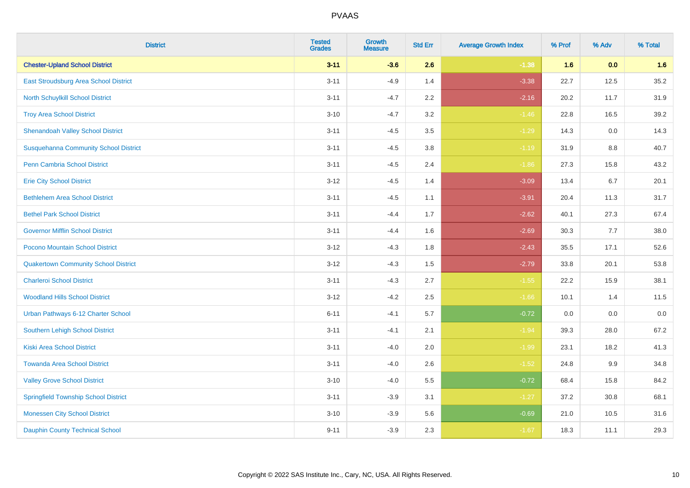| <b>District</b>                              | <b>Tested</b><br><b>Grades</b> | <b>Growth</b><br><b>Measure</b> | <b>Std Err</b> | <b>Average Growth Index</b> | % Prof | % Adv   | % Total |
|----------------------------------------------|--------------------------------|---------------------------------|----------------|-----------------------------|--------|---------|---------|
| <b>Chester-Upland School District</b>        | $3 - 11$                       | $-3.6$                          | 2.6            | $-1.38$                     | 1.6    | 0.0     | 1.6     |
| East Stroudsburg Area School District        | $3 - 11$                       | $-4.9$                          | 1.4            | $-3.38$                     | 22.7   | 12.5    | 35.2    |
| <b>North Schuylkill School District</b>      | $3 - 11$                       | $-4.7$                          | 2.2            | $-2.16$                     | 20.2   | 11.7    | 31.9    |
| <b>Troy Area School District</b>             | $3 - 10$                       | $-4.7$                          | 3.2            | $-1.46$                     | 22.8   | 16.5    | 39.2    |
| <b>Shenandoah Valley School District</b>     | $3 - 11$                       | $-4.5$                          | 3.5            | $-1.29$                     | 14.3   | 0.0     | 14.3    |
| <b>Susquehanna Community School District</b> | $3 - 11$                       | $-4.5$                          | 3.8            | $-1.19$                     | 31.9   | 8.8     | 40.7    |
| <b>Penn Cambria School District</b>          | $3 - 11$                       | $-4.5$                          | 2.4            | $-1.86$                     | 27.3   | 15.8    | 43.2    |
| <b>Erie City School District</b>             | $3 - 12$                       | $-4.5$                          | 1.4            | $-3.09$                     | 13.4   | 6.7     | 20.1    |
| <b>Bethlehem Area School District</b>        | $3 - 11$                       | $-4.5$                          | 1.1            | $-3.91$                     | 20.4   | 11.3    | 31.7    |
| <b>Bethel Park School District</b>           | $3 - 11$                       | $-4.4$                          | 1.7            | $-2.62$                     | 40.1   | 27.3    | 67.4    |
| <b>Governor Mifflin School District</b>      | $3 - 11$                       | $-4.4$                          | 1.6            | $-2.69$                     | 30.3   | 7.7     | 38.0    |
| Pocono Mountain School District              | $3 - 12$                       | $-4.3$                          | 1.8            | $-2.43$                     | 35.5   | 17.1    | 52.6    |
| <b>Quakertown Community School District</b>  | $3 - 12$                       | $-4.3$                          | $1.5$          | $-2.79$                     | 33.8   | 20.1    | 53.8    |
| <b>Charleroi School District</b>             | $3 - 11$                       | $-4.3$                          | 2.7            | $-1.55$                     | 22.2   | 15.9    | 38.1    |
| <b>Woodland Hills School District</b>        | $3 - 12$                       | $-4.2$                          | 2.5            | $-1.66$                     | 10.1   | 1.4     | 11.5    |
| Urban Pathways 6-12 Charter School           | $6 - 11$                       | $-4.1$                          | 5.7            | $-0.72$                     | 0.0    | $0.0\,$ | $0.0\,$ |
| <b>Southern Lehigh School District</b>       | $3 - 11$                       | $-4.1$                          | 2.1            | $-1.94$                     | 39.3   | 28.0    | 67.2    |
| <b>Kiski Area School District</b>            | $3 - 11$                       | $-4.0$                          | 2.0            | $-1.99$                     | 23.1   | 18.2    | 41.3    |
| <b>Towanda Area School District</b>          | $3 - 11$                       | $-4.0$                          | 2.6            | $-1.52$                     | 24.8   | 9.9     | 34.8    |
| <b>Valley Grove School District</b>          | $3 - 10$                       | $-4.0$                          | 5.5            | $-0.72$                     | 68.4   | 15.8    | 84.2    |
| <b>Springfield Township School District</b>  | $3 - 11$                       | $-3.9$                          | 3.1            | $-1.27$                     | 37.2   | 30.8    | 68.1    |
| <b>Monessen City School District</b>         | $3 - 10$                       | $-3.9$                          | 5.6            | $-0.69$                     | 21.0   | 10.5    | 31.6    |
| <b>Dauphin County Technical School</b>       | $9 - 11$                       | $-3.9$                          | 2.3            | $-1.67$                     | 18.3   | 11.1    | 29.3    |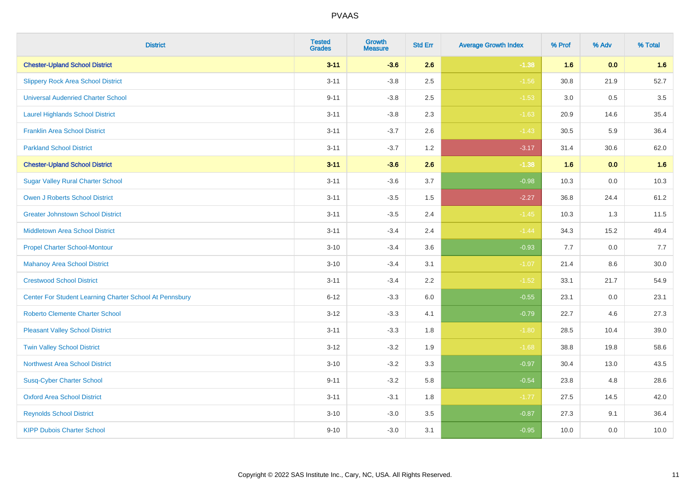| <b>District</b>                                         | <b>Tested</b><br><b>Grades</b> | <b>Growth</b><br><b>Measure</b> | <b>Std Err</b> | <b>Average Growth Index</b> | % Prof | % Adv | % Total |
|---------------------------------------------------------|--------------------------------|---------------------------------|----------------|-----------------------------|--------|-------|---------|
| <b>Chester-Upland School District</b>                   | $3 - 11$                       | $-3.6$                          | 2.6            | $-1.38$                     | 1.6    | 0.0   | 1.6     |
| <b>Slippery Rock Area School District</b>               | $3 - 11$                       | $-3.8$                          | 2.5            | $-1.56$                     | 30.8   | 21.9  | 52.7    |
| <b>Universal Audenried Charter School</b>               | $9 - 11$                       | $-3.8$                          | 2.5            | $-1.53$                     | 3.0    | 0.5   | 3.5     |
| <b>Laurel Highlands School District</b>                 | $3 - 11$                       | $-3.8$                          | 2.3            | $-1.63$                     | 20.9   | 14.6  | 35.4    |
| <b>Franklin Area School District</b>                    | $3 - 11$                       | $-3.7$                          | 2.6            | $-1.43$                     | 30.5   | 5.9   | 36.4    |
| <b>Parkland School District</b>                         | $3 - 11$                       | $-3.7$                          | 1.2            | $-3.17$                     | 31.4   | 30.6  | 62.0    |
| <b>Chester-Upland School District</b>                   | $3 - 11$                       | $-3.6$                          | 2.6            | $-1.38$                     | 1.6    | 0.0   | 1.6     |
| <b>Sugar Valley Rural Charter School</b>                | $3 - 11$                       | $-3.6$                          | 3.7            | $-0.98$                     | 10.3   | 0.0   | 10.3    |
| <b>Owen J Roberts School District</b>                   | $3 - 11$                       | $-3.5$                          | 1.5            | $-2.27$                     | 36.8   | 24.4  | 61.2    |
| <b>Greater Johnstown School District</b>                | $3 - 11$                       | $-3.5$                          | 2.4            | $-1.45$                     | 10.3   | 1.3   | 11.5    |
| <b>Middletown Area School District</b>                  | $3 - 11$                       | $-3.4$                          | 2.4            | $-1.44$                     | 34.3   | 15.2  | 49.4    |
| <b>Propel Charter School-Montour</b>                    | $3 - 10$                       | $-3.4$                          | 3.6            | $-0.93$                     | 7.7    | 0.0   | 7.7     |
| <b>Mahanoy Area School District</b>                     | $3 - 10$                       | $-3.4$                          | 3.1            | $-1.07$                     | 21.4   | 8.6   | 30.0    |
| <b>Crestwood School District</b>                        | $3 - 11$                       | $-3.4$                          | 2.2            | $-1.52$                     | 33.1   | 21.7  | 54.9    |
| Center For Student Learning Charter School At Pennsbury | $6 - 12$                       | $-3.3$                          | 6.0            | $-0.55$                     | 23.1   | 0.0   | 23.1    |
| <b>Roberto Clemente Charter School</b>                  | $3 - 12$                       | $-3.3$                          | 4.1            | $-0.79$                     | 22.7   | 4.6   | 27.3    |
| <b>Pleasant Valley School District</b>                  | $3 - 11$                       | $-3.3$                          | 1.8            | $-1.80$                     | 28.5   | 10.4  | 39.0    |
| <b>Twin Valley School District</b>                      | $3 - 12$                       | $-3.2$                          | 1.9            | $-1.68$                     | 38.8   | 19.8  | 58.6    |
| <b>Northwest Area School District</b>                   | $3 - 10$                       | $-3.2$                          | 3.3            | $-0.97$                     | 30.4   | 13.0  | 43.5    |
| <b>Susq-Cyber Charter School</b>                        | $9 - 11$                       | $-3.2$                          | 5.8            | $-0.54$                     | 23.8   | 4.8   | 28.6    |
| <b>Oxford Area School District</b>                      | $3 - 11$                       | $-3.1$                          | 1.8            | $-1.77$                     | 27.5   | 14.5  | 42.0    |
| <b>Reynolds School District</b>                         | $3 - 10$                       | $-3.0$                          | 3.5            | $-0.87$                     | 27.3   | 9.1   | 36.4    |
| <b>KIPP Dubois Charter School</b>                       | $9 - 10$                       | $-3.0$                          | 3.1            | $-0.95$                     | 10.0   | 0.0   | 10.0    |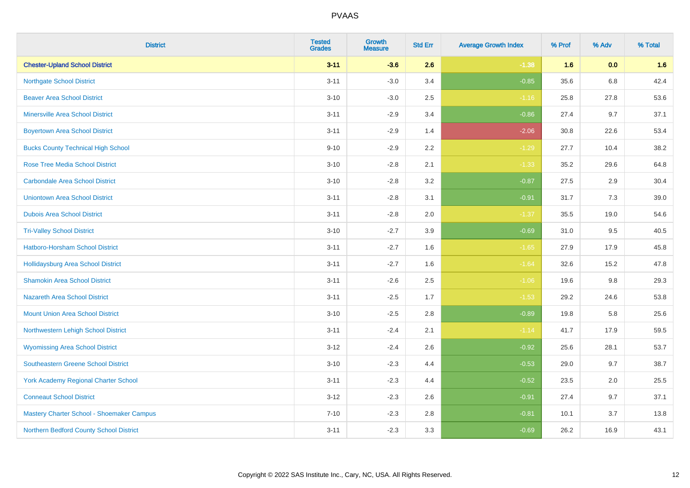| <b>District</b>                             | <b>Tested</b><br><b>Grades</b> | <b>Growth</b><br><b>Measure</b> | <b>Std Err</b> | <b>Average Growth Index</b> | % Prof | % Adv | % Total |
|---------------------------------------------|--------------------------------|---------------------------------|----------------|-----------------------------|--------|-------|---------|
| <b>Chester-Upland School District</b>       | $3 - 11$                       | $-3.6$                          | 2.6            | $-1.38$                     | 1.6    | 0.0   | 1.6     |
| <b>Northgate School District</b>            | $3 - 11$                       | $-3.0$                          | 3.4            | $-0.85$                     | 35.6   | 6.8   | 42.4    |
| <b>Beaver Area School District</b>          | $3 - 10$                       | $-3.0$                          | 2.5            | $-1.16$                     | 25.8   | 27.8  | 53.6    |
| <b>Minersville Area School District</b>     | $3 - 11$                       | $-2.9$                          | 3.4            | $-0.86$                     | 27.4   | 9.7   | 37.1    |
| <b>Boyertown Area School District</b>       | $3 - 11$                       | $-2.9$                          | 1.4            | $-2.06$                     | 30.8   | 22.6  | 53.4    |
| <b>Bucks County Technical High School</b>   | $9 - 10$                       | $-2.9$                          | 2.2            | $-1.29$                     | 27.7   | 10.4  | 38.2    |
| <b>Rose Tree Media School District</b>      | $3 - 10$                       | $-2.8$                          | 2.1            | $-1.33$                     | 35.2   | 29.6  | 64.8    |
| <b>Carbondale Area School District</b>      | $3 - 10$                       | $-2.8$                          | 3.2            | $-0.87$                     | 27.5   | 2.9   | 30.4    |
| <b>Uniontown Area School District</b>       | $3 - 11$                       | $-2.8$                          | 3.1            | $-0.91$                     | 31.7   | 7.3   | 39.0    |
| <b>Dubois Area School District</b>          | $3 - 11$                       | $-2.8$                          | 2.0            | $-1.37$                     | 35.5   | 19.0  | 54.6    |
| <b>Tri-Valley School District</b>           | $3 - 10$                       | $-2.7$                          | 3.9            | $-0.69$                     | 31.0   | 9.5   | 40.5    |
| <b>Hatboro-Horsham School District</b>      | $3 - 11$                       | $-2.7$                          | 1.6            | $-1.65$                     | 27.9   | 17.9  | 45.8    |
| <b>Hollidaysburg Area School District</b>   | $3 - 11$                       | $-2.7$                          | 1.6            | $-1.64$                     | 32.6   | 15.2  | 47.8    |
| <b>Shamokin Area School District</b>        | $3 - 11$                       | $-2.6$                          | 2.5            | $-1.06$                     | 19.6   | 9.8   | 29.3    |
| <b>Nazareth Area School District</b>        | $3 - 11$                       | $-2.5$                          | 1.7            | $-1.53$                     | 29.2   | 24.6  | 53.8    |
| <b>Mount Union Area School District</b>     | $3 - 10$                       | $-2.5$                          | 2.8            | $-0.89$                     | 19.8   | 5.8   | 25.6    |
| Northwestern Lehigh School District         | $3 - 11$                       | $-2.4$                          | 2.1            | $-1.14$                     | 41.7   | 17.9  | 59.5    |
| <b>Wyomissing Area School District</b>      | $3 - 12$                       | $-2.4$                          | 2.6            | $-0.92$                     | 25.6   | 28.1  | 53.7    |
| <b>Southeastern Greene School District</b>  | $3 - 10$                       | $-2.3$                          | 4.4            | $-0.53$                     | 29.0   | 9.7   | 38.7    |
| <b>York Academy Regional Charter School</b> | $3 - 11$                       | $-2.3$                          | 4.4            | $-0.52$                     | 23.5   | 2.0   | 25.5    |
| <b>Conneaut School District</b>             | $3 - 12$                       | $-2.3$                          | 2.6            | $-0.91$                     | 27.4   | 9.7   | 37.1    |
| Mastery Charter School - Shoemaker Campus   | $7 - 10$                       | $-2.3$                          | 2.8            | $-0.81$                     | 10.1   | 3.7   | 13.8    |
| Northern Bedford County School District     | $3 - 11$                       | $-2.3$                          | 3.3            | $-0.69$                     | 26.2   | 16.9  | 43.1    |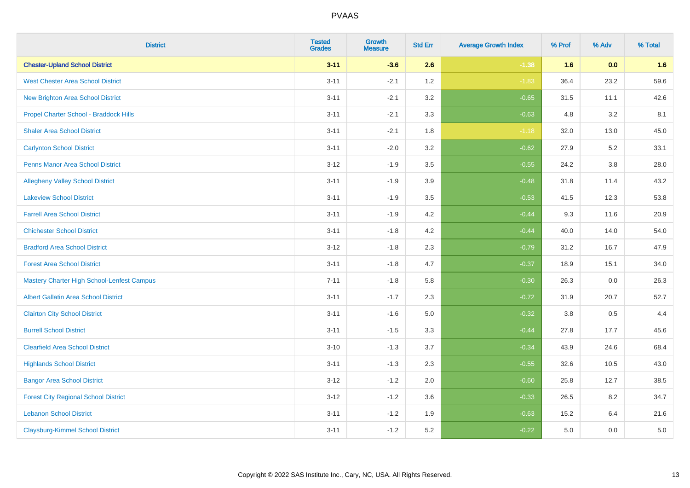| <b>District</b>                                   | <b>Tested</b><br><b>Grades</b> | <b>Growth</b><br><b>Measure</b> | <b>Std Err</b> | <b>Average Growth Index</b> | % Prof | % Adv   | % Total |
|---------------------------------------------------|--------------------------------|---------------------------------|----------------|-----------------------------|--------|---------|---------|
| <b>Chester-Upland School District</b>             | $3 - 11$                       | $-3.6$                          | 2.6            | $-1.38$                     | 1.6    | 0.0     | 1.6     |
| <b>West Chester Area School District</b>          | $3 - 11$                       | $-2.1$                          | 1.2            | $-1.83$                     | 36.4   | 23.2    | 59.6    |
| New Brighton Area School District                 | $3 - 11$                       | $-2.1$                          | 3.2            | $-0.65$                     | 31.5   | 11.1    | 42.6    |
| Propel Charter School - Braddock Hills            | $3 - 11$                       | $-2.1$                          | 3.3            | $-0.63$                     | 4.8    | 3.2     | 8.1     |
| <b>Shaler Area School District</b>                | $3 - 11$                       | $-2.1$                          | 1.8            | $-1.18$                     | 32.0   | 13.0    | 45.0    |
| <b>Carlynton School District</b>                  | $3 - 11$                       | $-2.0$                          | 3.2            | $-0.62$                     | 27.9   | 5.2     | 33.1    |
| Penns Manor Area School District                  | $3 - 12$                       | $-1.9$                          | 3.5            | $-0.55$                     | 24.2   | $3.8\,$ | 28.0    |
| <b>Allegheny Valley School District</b>           | $3 - 11$                       | $-1.9$                          | 3.9            | $-0.48$                     | 31.8   | 11.4    | 43.2    |
| <b>Lakeview School District</b>                   | $3 - 11$                       | $-1.9$                          | 3.5            | $-0.53$                     | 41.5   | 12.3    | 53.8    |
| <b>Farrell Area School District</b>               | $3 - 11$                       | $-1.9$                          | 4.2            | $-0.44$                     | 9.3    | 11.6    | 20.9    |
| <b>Chichester School District</b>                 | $3 - 11$                       | $-1.8$                          | 4.2            | $-0.44$                     | 40.0   | 14.0    | 54.0    |
| <b>Bradford Area School District</b>              | $3 - 12$                       | $-1.8$                          | 2.3            | $-0.79$                     | 31.2   | 16.7    | 47.9    |
| <b>Forest Area School District</b>                | $3 - 11$                       | $-1.8$                          | 4.7            | $-0.37$                     | 18.9   | 15.1    | 34.0    |
| <b>Mastery Charter High School-Lenfest Campus</b> | $7 - 11$                       | $-1.8$                          | 5.8            | $-0.30$                     | 26.3   | 0.0     | 26.3    |
| <b>Albert Gallatin Area School District</b>       | $3 - 11$                       | $-1.7$                          | 2.3            | $-0.72$                     | 31.9   | 20.7    | 52.7    |
| <b>Clairton City School District</b>              | $3 - 11$                       | $-1.6$                          | 5.0            | $-0.32$                     | 3.8    | 0.5     | 4.4     |
| <b>Burrell School District</b>                    | $3 - 11$                       | $-1.5$                          | 3.3            | $-0.44$                     | 27.8   | 17.7    | 45.6    |
| <b>Clearfield Area School District</b>            | $3 - 10$                       | $-1.3$                          | 3.7            | $-0.34$                     | 43.9   | 24.6    | 68.4    |
| <b>Highlands School District</b>                  | $3 - 11$                       | $-1.3$                          | 2.3            | $-0.55$                     | 32.6   | 10.5    | 43.0    |
| <b>Bangor Area School District</b>                | $3 - 12$                       | $-1.2$                          | 2.0            | $-0.60$                     | 25.8   | 12.7    | 38.5    |
| <b>Forest City Regional School District</b>       | $3 - 12$                       | $-1.2$                          | 3.6            | $-0.33$                     | 26.5   | 8.2     | 34.7    |
| <b>Lebanon School District</b>                    | $3 - 11$                       | $-1.2$                          | 1.9            | $-0.63$                     | 15.2   | 6.4     | 21.6    |
| <b>Claysburg-Kimmel School District</b>           | $3 - 11$                       | $-1.2$                          | 5.2            | $-0.22$                     | 5.0    | 0.0     | $5.0\,$ |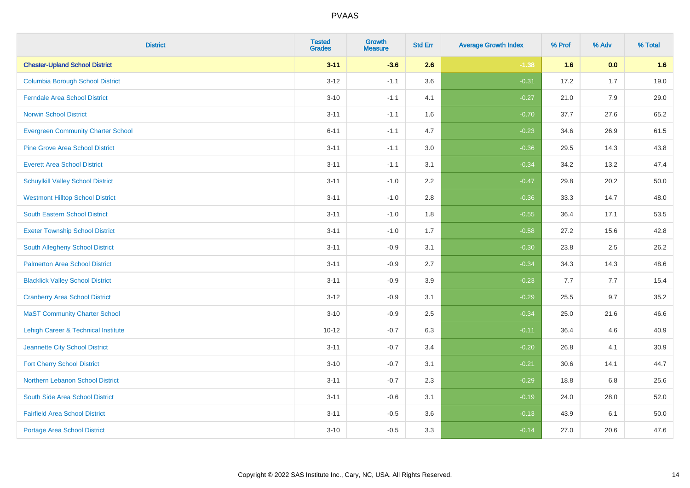| <b>District</b>                           | <b>Tested</b><br><b>Grades</b> | <b>Growth</b><br><b>Measure</b> | <b>Std Err</b> | <b>Average Growth Index</b> | % Prof | % Adv | % Total |
|-------------------------------------------|--------------------------------|---------------------------------|----------------|-----------------------------|--------|-------|---------|
| <b>Chester-Upland School District</b>     | $3 - 11$                       | $-3.6$                          | 2.6            | $-1.38$                     | 1.6    | 0.0   | 1.6     |
| <b>Columbia Borough School District</b>   | $3 - 12$                       | $-1.1$                          | 3.6            | $-0.31$                     | 17.2   | 1.7   | 19.0    |
| <b>Ferndale Area School District</b>      | $3 - 10$                       | $-1.1$                          | 4.1            | $-0.27$                     | 21.0   | 7.9   | 29.0    |
| <b>Norwin School District</b>             | $3 - 11$                       | $-1.1$                          | 1.6            | $-0.70$                     | 37.7   | 27.6  | 65.2    |
| <b>Evergreen Community Charter School</b> | $6 - 11$                       | $-1.1$                          | 4.7            | $-0.23$                     | 34.6   | 26.9  | 61.5    |
| <b>Pine Grove Area School District</b>    | $3 - 11$                       | $-1.1$                          | 3.0            | $-0.36$                     | 29.5   | 14.3  | 43.8    |
| <b>Everett Area School District</b>       | $3 - 11$                       | $-1.1$                          | 3.1            | $-0.34$                     | 34.2   | 13.2  | 47.4    |
| <b>Schuylkill Valley School District</b>  | $3 - 11$                       | $-1.0$                          | 2.2            | $-0.47$                     | 29.8   | 20.2  | 50.0    |
| <b>Westmont Hilltop School District</b>   | $3 - 11$                       | $-1.0$                          | 2.8            | $-0.36$                     | 33.3   | 14.7  | 48.0    |
| South Eastern School District             | $3 - 11$                       | $-1.0$                          | 1.8            | $-0.55$                     | 36.4   | 17.1  | 53.5    |
| <b>Exeter Township School District</b>    | $3 - 11$                       | $-1.0$                          | 1.7            | $-0.58$                     | 27.2   | 15.6  | 42.8    |
| South Allegheny School District           | $3 - 11$                       | $-0.9$                          | 3.1            | $-0.30$                     | 23.8   | 2.5   | 26.2    |
| <b>Palmerton Area School District</b>     | $3 - 11$                       | $-0.9$                          | 2.7            | $-0.34$                     | 34.3   | 14.3  | 48.6    |
| <b>Blacklick Valley School District</b>   | $3 - 11$                       | $-0.9$                          | 3.9            | $-0.23$                     | 7.7    | 7.7   | 15.4    |
| <b>Cranberry Area School District</b>     | $3 - 12$                       | $-0.9$                          | 3.1            | $-0.29$                     | 25.5   | 9.7   | 35.2    |
| <b>MaST Community Charter School</b>      | $3 - 10$                       | $-0.9$                          | 2.5            | $-0.34$                     | 25.0   | 21.6  | 46.6    |
| Lehigh Career & Technical Institute       | $10 - 12$                      | $-0.7$                          | 6.3            | $-0.11$                     | 36.4   | 4.6   | 40.9    |
| Jeannette City School District            | $3 - 11$                       | $-0.7$                          | 3.4            | $-0.20$                     | 26.8   | 4.1   | 30.9    |
| <b>Fort Cherry School District</b>        | $3 - 10$                       | $-0.7$                          | 3.1            | $-0.21$                     | 30.6   | 14.1  | 44.7    |
| Northern Lebanon School District          | $3 - 11$                       | $-0.7$                          | 2.3            | $-0.29$                     | 18.8   | 6.8   | 25.6    |
| South Side Area School District           | $3 - 11$                       | $-0.6$                          | 3.1            | $-0.19$                     | 24.0   | 28.0  | 52.0    |
| <b>Fairfield Area School District</b>     | $3 - 11$                       | $-0.5$                          | 3.6            | $-0.13$                     | 43.9   | 6.1   | 50.0    |
| <b>Portage Area School District</b>       | $3 - 10$                       | $-0.5$                          | 3.3            | $-0.14$                     | 27.0   | 20.6  | 47.6    |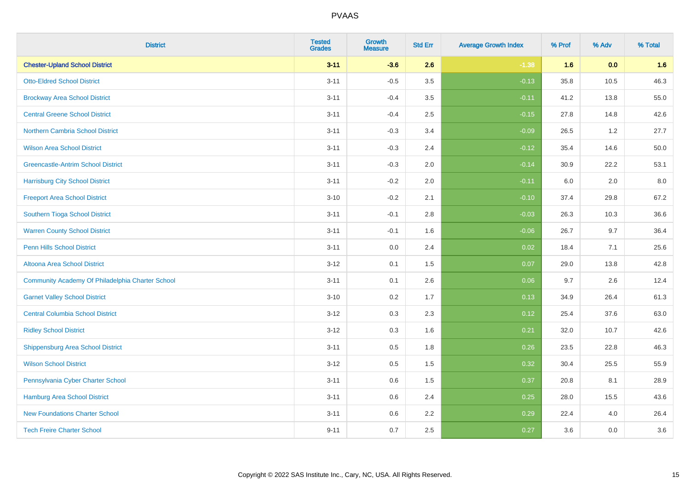| <b>District</b>                                  | <b>Tested</b><br><b>Grades</b> | <b>Growth</b><br><b>Measure</b> | <b>Std Err</b> | <b>Average Growth Index</b> | % Prof | % Adv | % Total |
|--------------------------------------------------|--------------------------------|---------------------------------|----------------|-----------------------------|--------|-------|---------|
| <b>Chester-Upland School District</b>            | $3 - 11$                       | $-3.6$                          | 2.6            | $-1.38$                     | 1.6    | 0.0   | 1.6     |
| <b>Otto-Eldred School District</b>               | $3 - 11$                       | $-0.5$                          | 3.5            | $-0.13$                     | 35.8   | 10.5  | 46.3    |
| <b>Brockway Area School District</b>             | $3 - 11$                       | $-0.4$                          | 3.5            | $-0.11$                     | 41.2   | 13.8  | 55.0    |
| <b>Central Greene School District</b>            | $3 - 11$                       | $-0.4$                          | 2.5            | $-0.15$                     | 27.8   | 14.8  | 42.6    |
| Northern Cambria School District                 | $3 - 11$                       | $-0.3$                          | 3.4            | $-0.09$                     | 26.5   | 1.2   | 27.7    |
| <b>Wilson Area School District</b>               | $3 - 11$                       | $-0.3$                          | 2.4            | $-0.12$                     | 35.4   | 14.6  | 50.0    |
| <b>Greencastle-Antrim School District</b>        | $3 - 11$                       | $-0.3$                          | 2.0            | $-0.14$                     | 30.9   | 22.2  | 53.1    |
| <b>Harrisburg City School District</b>           | $3 - 11$                       | $-0.2$                          | 2.0            | $-0.11$                     | 6.0    | 2.0   | 8.0     |
| <b>Freeport Area School District</b>             | $3 - 10$                       | $-0.2$                          | 2.1            | $-0.10$                     | 37.4   | 29.8  | 67.2    |
| Southern Tioga School District                   | $3 - 11$                       | $-0.1$                          | 2.8            | $-0.03$                     | 26.3   | 10.3  | 36.6    |
| <b>Warren County School District</b>             | $3 - 11$                       | $-0.1$                          | 1.6            | $-0.06$                     | 26.7   | 9.7   | 36.4    |
| <b>Penn Hills School District</b>                | $3 - 11$                       | 0.0                             | 2.4            | 0.02                        | 18.4   | 7.1   | 25.6    |
| Altoona Area School District                     | $3 - 12$                       | 0.1                             | 1.5            | 0.07                        | 29.0   | 13.8  | 42.8    |
| Community Academy Of Philadelphia Charter School | $3 - 11$                       | 0.1                             | 2.6            | 0.06                        | 9.7    | 2.6   | 12.4    |
| <b>Garnet Valley School District</b>             | $3 - 10$                       | 0.2                             | 1.7            | 0.13                        | 34.9   | 26.4  | 61.3    |
| <b>Central Columbia School District</b>          | $3 - 12$                       | 0.3                             | 2.3            | 0.12                        | 25.4   | 37.6  | 63.0    |
| <b>Ridley School District</b>                    | $3 - 12$                       | 0.3                             | 1.6            | 0.21                        | 32.0   | 10.7  | 42.6    |
| <b>Shippensburg Area School District</b>         | $3 - 11$                       | 0.5                             | 1.8            | 0.26                        | 23.5   | 22.8  | 46.3    |
| <b>Wilson School District</b>                    | $3-12$                         | 0.5                             | 1.5            | 0.32                        | 30.4   | 25.5  | 55.9    |
| Pennsylvania Cyber Charter School                | $3 - 11$                       | 0.6                             | 1.5            | 0.37                        | 20.8   | 8.1   | 28.9    |
| <b>Hamburg Area School District</b>              | $3 - 11$                       | 0.6                             | 2.4            | 0.25                        | 28.0   | 15.5  | 43.6    |
| <b>New Foundations Charter School</b>            | $3 - 11$                       | 0.6                             | 2.2            | 0.29                        | 22.4   | 4.0   | 26.4    |
| <b>Tech Freire Charter School</b>                | $9 - 11$                       | 0.7                             | 2.5            | 0.27                        | 3.6    | 0.0   | 3.6     |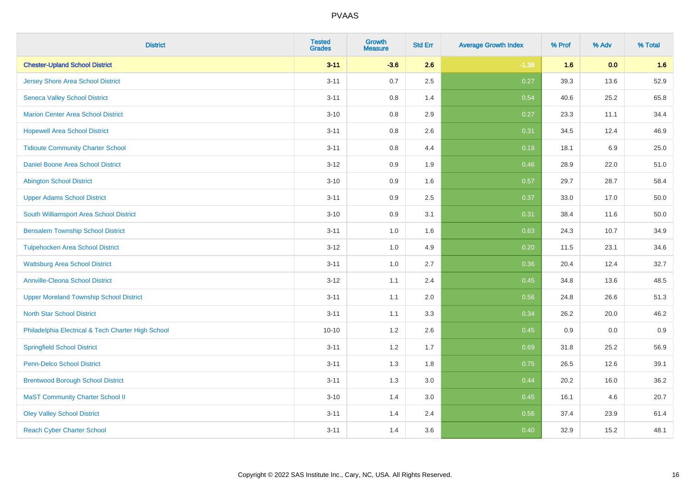| <b>District</b>                                    | <b>Tested</b><br><b>Grades</b> | <b>Growth</b><br><b>Measure</b> | <b>Std Err</b> | <b>Average Growth Index</b> | % Prof | % Adv | % Total |
|----------------------------------------------------|--------------------------------|---------------------------------|----------------|-----------------------------|--------|-------|---------|
| <b>Chester-Upland School District</b>              | $3 - 11$                       | $-3.6$                          | 2.6            | $-1.38$                     | 1.6    | 0.0   | 1.6     |
| <b>Jersey Shore Area School District</b>           | $3 - 11$                       | 0.7                             | 2.5            | 0.27                        | 39.3   | 13.6  | 52.9    |
| <b>Seneca Valley School District</b>               | $3 - 11$                       | 0.8                             | 1.4            | 0.54                        | 40.6   | 25.2  | 65.8    |
| <b>Marion Center Area School District</b>          | $3 - 10$                       | 0.8                             | 2.9            | 0.27                        | 23.3   | 11.1  | 34.4    |
| <b>Hopewell Area School District</b>               | $3 - 11$                       | 0.8                             | 2.6            | 0.31                        | 34.5   | 12.4  | 46.9    |
| <b>Tidioute Community Charter School</b>           | $3 - 11$                       | 0.8                             | 4.4            | 0.19                        | 18.1   | 6.9   | 25.0    |
| Daniel Boone Area School District                  | $3 - 12$                       | 0.9                             | 1.9            | 0.46                        | 28.9   | 22.0  | 51.0    |
| <b>Abington School District</b>                    | $3 - 10$                       | 0.9                             | 1.6            | 0.57                        | 29.7   | 28.7  | 58.4    |
| <b>Upper Adams School District</b>                 | $3 - 11$                       | 0.9                             | 2.5            | 0.37                        | 33.0   | 17.0  | 50.0    |
| South Williamsport Area School District            | $3 - 10$                       | 0.9                             | 3.1            | 0.31                        | 38.4   | 11.6  | 50.0    |
| <b>Bensalem Township School District</b>           | $3 - 11$                       | 1.0                             | 1.6            | 0.63                        | 24.3   | 10.7  | 34.9    |
| <b>Tulpehocken Area School District</b>            | $3 - 12$                       | 1.0                             | 4.9            | 0.20                        | 11.5   | 23.1  | 34.6    |
| <b>Wattsburg Area School District</b>              | $3 - 11$                       | 1.0                             | 2.7            | 0.36                        | 20.4   | 12.4  | 32.7    |
| <b>Annville-Cleona School District</b>             | $3 - 12$                       | 1.1                             | 2.4            | 0.45                        | 34.8   | 13.6  | 48.5    |
| <b>Upper Moreland Township School District</b>     | $3 - 11$                       | 1.1                             | 2.0            | 0.56                        | 24.8   | 26.6  | 51.3    |
| <b>North Star School District</b>                  | $3 - 11$                       | 1.1                             | 3.3            | 0.34                        | 26.2   | 20.0  | 46.2    |
| Philadelphia Electrical & Tech Charter High School | $10 - 10$                      | $1.2\,$                         | 2.6            | 0.45                        | 0.9    | 0.0   | 0.9     |
| <b>Springfield School District</b>                 | $3 - 11$                       | 1.2                             | 1.7            | 0.69                        | 31.8   | 25.2  | 56.9    |
| <b>Penn-Delco School District</b>                  | $3 - 11$                       | 1.3                             | 1.8            | 0.75                        | 26.5   | 12.6  | 39.1    |
| <b>Brentwood Borough School District</b>           | $3 - 11$                       | 1.3                             | 3.0            | 0.44                        | 20.2   | 16.0  | 36.2    |
| <b>MaST Community Charter School II</b>            | $3 - 10$                       | 1.4                             | 3.0            | 0.45                        | 16.1   | 4.6   | 20.7    |
| <b>Oley Valley School District</b>                 | $3 - 11$                       | 1.4                             | 2.4            | 0.56                        | 37.4   | 23.9  | 61.4    |
| <b>Reach Cyber Charter School</b>                  | $3 - 11$                       | 1.4                             | 3.6            | 0.40                        | 32.9   | 15.2  | 48.1    |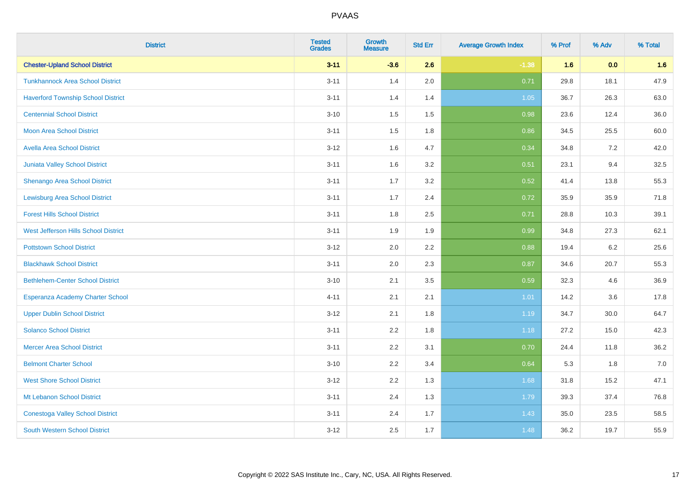| <b>District</b>                           | <b>Tested</b><br><b>Grades</b> | <b>Growth</b><br><b>Measure</b> | <b>Std Err</b> | <b>Average Growth Index</b> | % Prof | % Adv | % Total |
|-------------------------------------------|--------------------------------|---------------------------------|----------------|-----------------------------|--------|-------|---------|
| <b>Chester-Upland School District</b>     | $3 - 11$                       | $-3.6$                          | 2.6            | $-1.38$                     | 1.6    | 0.0   | 1.6     |
| <b>Tunkhannock Area School District</b>   | $3 - 11$                       | 1.4                             | 2.0            | 0.71                        | 29.8   | 18.1  | 47.9    |
| <b>Haverford Township School District</b> | $3 - 11$                       | 1.4                             | 1.4            | 1.05                        | 36.7   | 26.3  | 63.0    |
| <b>Centennial School District</b>         | $3 - 10$                       | 1.5                             | 1.5            | 0.98                        | 23.6   | 12.4  | 36.0    |
| <b>Moon Area School District</b>          | $3 - 11$                       | 1.5                             | 1.8            | 0.86                        | 34.5   | 25.5  | 60.0    |
| <b>Avella Area School District</b>        | $3 - 12$                       | 1.6                             | 4.7            | 0.34                        | 34.8   | 7.2   | 42.0    |
| Juniata Valley School District            | $3 - 11$                       | 1.6                             | 3.2            | 0.51                        | 23.1   | 9.4   | 32.5    |
| <b>Shenango Area School District</b>      | $3 - 11$                       | 1.7                             | 3.2            | 0.52                        | 41.4   | 13.8  | 55.3    |
| <b>Lewisburg Area School District</b>     | $3 - 11$                       | 1.7                             | 2.4            | 0.72                        | 35.9   | 35.9  | 71.8    |
| <b>Forest Hills School District</b>       | $3 - 11$                       | 1.8                             | 2.5            | 0.71                        | 28.8   | 10.3  | 39.1    |
| West Jefferson Hills School District      | $3 - 11$                       | 1.9                             | 1.9            | 0.99                        | 34.8   | 27.3  | 62.1    |
| <b>Pottstown School District</b>          | $3 - 12$                       | 2.0                             | 2.2            | 0.88                        | 19.4   | 6.2   | 25.6    |
| <b>Blackhawk School District</b>          | $3 - 11$                       | 2.0                             | 2.3            | 0.87                        | 34.6   | 20.7  | 55.3    |
| <b>Bethlehem-Center School District</b>   | $3 - 10$                       | 2.1                             | 3.5            | 0.59                        | 32.3   | 4.6   | 36.9    |
| Esperanza Academy Charter School          | $4 - 11$                       | 2.1                             | 2.1            | 1.01                        | 14.2   | 3.6   | 17.8    |
| <b>Upper Dublin School District</b>       | $3 - 12$                       | 2.1                             | 1.8            | 1.19                        | 34.7   | 30.0  | 64.7    |
| <b>Solanco School District</b>            | $3 - 11$                       | 2.2                             | 1.8            | 1.18                        | 27.2   | 15.0  | 42.3    |
| <b>Mercer Area School District</b>        | $3 - 11$                       | 2.2                             | 3.1            | 0.70                        | 24.4   | 11.8  | 36.2    |
| <b>Belmont Charter School</b>             | $3 - 10$                       | 2.2                             | 3.4            | 0.64                        | 5.3    | 1.8   | $7.0$   |
| <b>West Shore School District</b>         | $3 - 12$                       | 2.2                             | 1.3            | 1.68                        | 31.8   | 15.2  | 47.1    |
| Mt Lebanon School District                | $3 - 11$                       | 2.4                             | 1.3            | 1.79                        | 39.3   | 37.4  | 76.8    |
| <b>Conestoga Valley School District</b>   | $3 - 11$                       | 2.4                             | 1.7            | 1.43                        | 35.0   | 23.5  | 58.5    |
| <b>South Western School District</b>      | $3 - 12$                       | 2.5                             | 1.7            | 1.48                        | 36.2   | 19.7  | 55.9    |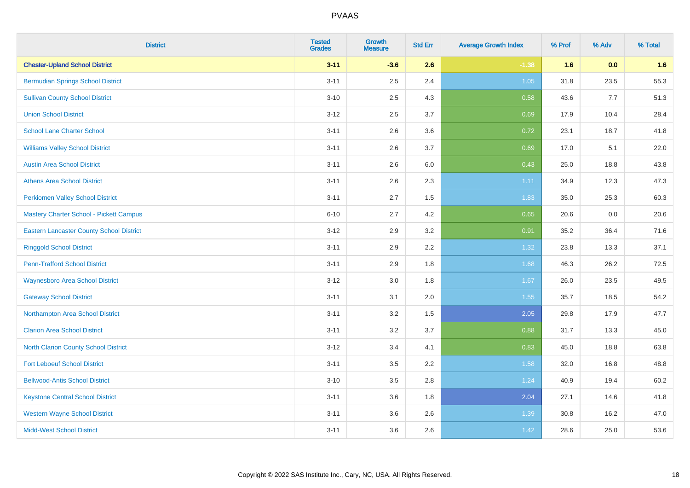| <b>District</b>                                 | <b>Tested</b><br><b>Grades</b> | <b>Growth</b><br><b>Measure</b> | <b>Std Err</b> | <b>Average Growth Index</b> | % Prof | % Adv | % Total |
|-------------------------------------------------|--------------------------------|---------------------------------|----------------|-----------------------------|--------|-------|---------|
| <b>Chester-Upland School District</b>           | $3 - 11$                       | $-3.6$                          | 2.6            | $-1.38$                     | 1.6    | 0.0   | 1.6     |
| <b>Bermudian Springs School District</b>        | $3 - 11$                       | 2.5                             | 2.4            | 1.05                        | 31.8   | 23.5  | 55.3    |
| <b>Sullivan County School District</b>          | $3 - 10$                       | 2.5                             | 4.3            | 0.58                        | 43.6   | 7.7   | 51.3    |
| <b>Union School District</b>                    | $3 - 12$                       | 2.5                             | 3.7            | 0.69                        | 17.9   | 10.4  | 28.4    |
| <b>School Lane Charter School</b>               | $3 - 11$                       | 2.6                             | 3.6            | 0.72                        | 23.1   | 18.7  | 41.8    |
| <b>Williams Valley School District</b>          | $3 - 11$                       | 2.6                             | 3.7            | 0.69                        | 17.0   | 5.1   | 22.0    |
| <b>Austin Area School District</b>              | $3 - 11$                       | 2.6                             | 6.0            | 0.43                        | 25.0   | 18.8  | 43.8    |
| <b>Athens Area School District</b>              | $3 - 11$                       | 2.6                             | 2.3            | 1.11                        | 34.9   | 12.3  | 47.3    |
| <b>Perkiomen Valley School District</b>         | $3 - 11$                       | 2.7                             | 1.5            | 1.83                        | 35.0   | 25.3  | 60.3    |
| Mastery Charter School - Pickett Campus         | $6 - 10$                       | 2.7                             | 4.2            | 0.65                        | 20.6   | 0.0   | 20.6    |
| <b>Eastern Lancaster County School District</b> | $3 - 12$                       | 2.9                             | 3.2            | 0.91                        | 35.2   | 36.4  | 71.6    |
| <b>Ringgold School District</b>                 | $3 - 11$                       | 2.9                             | 2.2            | 1.32                        | 23.8   | 13.3  | 37.1    |
| <b>Penn-Trafford School District</b>            | $3 - 11$                       | 2.9                             | 1.8            | 1.68                        | 46.3   | 26.2  | 72.5    |
| <b>Waynesboro Area School District</b>          | $3 - 12$                       | 3.0                             | 1.8            | 1.67                        | 26.0   | 23.5  | 49.5    |
| <b>Gateway School District</b>                  | $3 - 11$                       | 3.1                             | 2.0            | 1.55                        | 35.7   | 18.5  | 54.2    |
| Northampton Area School District                | $3 - 11$                       | 3.2                             | 1.5            | 2.05                        | 29.8   | 17.9  | 47.7    |
| <b>Clarion Area School District</b>             | $3 - 11$                       | 3.2                             | 3.7            | 0.88                        | 31.7   | 13.3  | 45.0    |
| North Clarion County School District            | $3-12$                         | 3.4                             | 4.1            | 0.83                        | 45.0   | 18.8  | 63.8    |
| <b>Fort Leboeuf School District</b>             | $3 - 11$                       | 3.5                             | 2.2            | 1.58                        | 32.0   | 16.8  | 48.8    |
| <b>Bellwood-Antis School District</b>           | $3 - 10$                       | 3.5                             | 2.8            | 1.24                        | 40.9   | 19.4  | 60.2    |
| <b>Keystone Central School District</b>         | $3 - 11$                       | 3.6                             | 1.8            | 2.04                        | 27.1   | 14.6  | 41.8    |
| <b>Western Wayne School District</b>            | $3 - 11$                       | 3.6                             | 2.6            | 1.39                        | 30.8   | 16.2  | 47.0    |
| <b>Midd-West School District</b>                | $3 - 11$                       | 3.6                             | 2.6            | 1.42                        | 28.6   | 25.0  | 53.6    |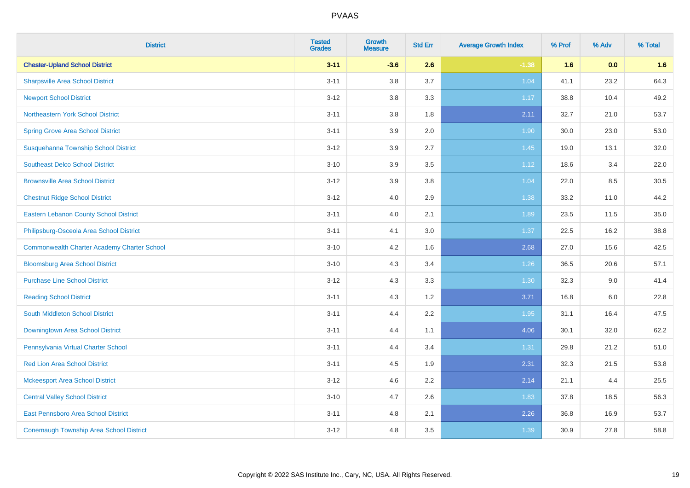| <b>District</b>                                    | <b>Tested</b><br><b>Grades</b> | <b>Growth</b><br><b>Measure</b> | <b>Std Err</b> | <b>Average Growth Index</b> | % Prof | % Adv | % Total |
|----------------------------------------------------|--------------------------------|---------------------------------|----------------|-----------------------------|--------|-------|---------|
| <b>Chester-Upland School District</b>              | $3 - 11$                       | $-3.6$                          | 2.6            | $-1.38$                     | 1.6    | 0.0   | 1.6     |
| <b>Sharpsville Area School District</b>            | $3 - 11$                       | 3.8                             | 3.7            | 1.04                        | 41.1   | 23.2  | 64.3    |
| <b>Newport School District</b>                     | $3 - 12$                       | 3.8                             | 3.3            | 1.17                        | 38.8   | 10.4  | 49.2    |
| Northeastern York School District                  | $3 - 11$                       | 3.8                             | 1.8            | 2.11                        | 32.7   | 21.0  | 53.7    |
| <b>Spring Grove Area School District</b>           | $3 - 11$                       | 3.9                             | 2.0            | 1.90                        | 30.0   | 23.0  | 53.0    |
| Susquehanna Township School District               | $3 - 12$                       | 3.9                             | 2.7            | 1.45                        | 19.0   | 13.1  | 32.0    |
| <b>Southeast Delco School District</b>             | $3 - 10$                       | 3.9                             | 3.5            | 1.12                        | 18.6   | 3.4   | 22.0    |
| <b>Brownsville Area School District</b>            | $3 - 12$                       | 3.9                             | 3.8            | 1.04                        | 22.0   | 8.5   | 30.5    |
| <b>Chestnut Ridge School District</b>              | $3 - 12$                       | 4.0                             | 2.9            | 1.38                        | 33.2   | 11.0  | 44.2    |
| <b>Eastern Lebanon County School District</b>      | $3 - 11$                       | 4.0                             | 2.1            | 1.89                        | 23.5   | 11.5  | 35.0    |
| Philipsburg-Osceola Area School District           | $3 - 11$                       | 4.1                             | 3.0            | 1.37                        | 22.5   | 16.2  | 38.8    |
| <b>Commonwealth Charter Academy Charter School</b> | $3 - 10$                       | 4.2                             | 1.6            | 2.68                        | 27.0   | 15.6  | 42.5    |
| <b>Bloomsburg Area School District</b>             | $3 - 10$                       | 4.3                             | 3.4            | 1.26                        | 36.5   | 20.6  | 57.1    |
| <b>Purchase Line School District</b>               | $3 - 12$                       | 4.3                             | 3.3            | 1.30                        | 32.3   | 9.0   | 41.4    |
| <b>Reading School District</b>                     | $3 - 11$                       | 4.3                             | 1.2            | 3.71                        | 16.8   | 6.0   | 22.8    |
| South Middleton School District                    | $3 - 11$                       | 4.4                             | 2.2            | 1.95                        | 31.1   | 16.4  | 47.5    |
| <b>Downingtown Area School District</b>            | $3 - 11$                       | 4.4                             | 1.1            | 4.06                        | 30.1   | 32.0  | 62.2    |
| Pennsylvania Virtual Charter School                | $3 - 11$                       | 4.4                             | 3.4            | 1.31                        | 29.8   | 21.2  | 51.0    |
| <b>Red Lion Area School District</b>               | $3 - 11$                       | 4.5                             | 1.9            | 2.31                        | 32.3   | 21.5  | 53.8    |
| <b>Mckeesport Area School District</b>             | $3-12$                         | 4.6                             | 2.2            | 2.14                        | 21.1   | 4.4   | 25.5    |
| <b>Central Valley School District</b>              | $3 - 10$                       | 4.7                             | 2.6            | 1.83                        | 37.8   | 18.5  | 56.3    |
| <b>East Pennsboro Area School District</b>         | $3 - 11$                       | 4.8                             | 2.1            | 2.26                        | 36.8   | 16.9  | 53.7    |
| <b>Conemaugh Township Area School District</b>     | $3-12$                         | 4.8                             | 3.5            | 1.39                        | 30.9   | 27.8  | 58.8    |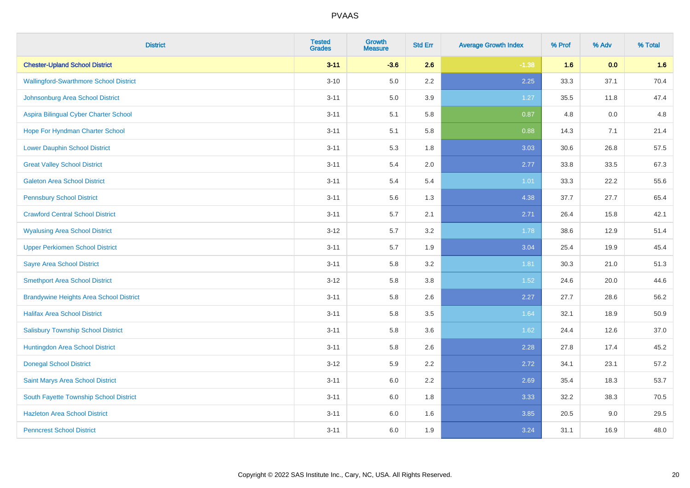| <b>District</b>                                | <b>Tested</b><br><b>Grades</b> | <b>Growth</b><br><b>Measure</b> | <b>Std Err</b> | <b>Average Growth Index</b> | % Prof | % Adv | % Total |
|------------------------------------------------|--------------------------------|---------------------------------|----------------|-----------------------------|--------|-------|---------|
| <b>Chester-Upland School District</b>          | $3 - 11$                       | $-3.6$                          | 2.6            | $-1.38$                     | 1.6    | 0.0   | 1.6     |
| <b>Wallingford-Swarthmore School District</b>  | $3 - 10$                       | $5.0\,$                         | $2.2\,$        | 2.25                        | 33.3   | 37.1  | 70.4    |
| Johnsonburg Area School District               | $3 - 11$                       | 5.0                             | 3.9            | 1.27                        | 35.5   | 11.8  | 47.4    |
| Aspira Bilingual Cyber Charter School          | $3 - 11$                       | 5.1                             | 5.8            | 0.87                        | 4.8    | 0.0   | 4.8     |
| Hope For Hyndman Charter School                | $3 - 11$                       | 5.1                             | 5.8            | 0.88                        | 14.3   | 7.1   | 21.4    |
| <b>Lower Dauphin School District</b>           | $3 - 11$                       | 5.3                             | 1.8            | 3.03                        | 30.6   | 26.8  | 57.5    |
| <b>Great Valley School District</b>            | $3 - 11$                       | 5.4                             | 2.0            | 2.77                        | 33.8   | 33.5  | 67.3    |
| <b>Galeton Area School District</b>            | $3 - 11$                       | 5.4                             | 5.4            | 1.01                        | 33.3   | 22.2  | 55.6    |
| <b>Pennsbury School District</b>               | $3 - 11$                       | 5.6                             | 1.3            | 4.38                        | 37.7   | 27.7  | 65.4    |
| <b>Crawford Central School District</b>        | $3 - 11$                       | 5.7                             | 2.1            | 2.71                        | 26.4   | 15.8  | 42.1    |
| <b>Wyalusing Area School District</b>          | $3 - 12$                       | 5.7                             | 3.2            | 1.78                        | 38.6   | 12.9  | 51.4    |
| <b>Upper Perkiomen School District</b>         | $3 - 11$                       | 5.7                             | 1.9            | 3.04                        | 25.4   | 19.9  | 45.4    |
| <b>Sayre Area School District</b>              | $3 - 11$                       | 5.8                             | 3.2            | 1.81                        | 30.3   | 21.0  | 51.3    |
| <b>Smethport Area School District</b>          | $3 - 12$                       | 5.8                             | 3.8            | 1.52                        | 24.6   | 20.0  | 44.6    |
| <b>Brandywine Heights Area School District</b> | $3 - 11$                       | 5.8                             | 2.6            | 2.27                        | 27.7   | 28.6  | 56.2    |
| <b>Halifax Area School District</b>            | $3 - 11$                       | 5.8                             | 3.5            | 1.64                        | 32.1   | 18.9  | 50.9    |
| <b>Salisbury Township School District</b>      | $3 - 11$                       | 5.8                             | 3.6            | 1.62                        | 24.4   | 12.6  | 37.0    |
| Huntingdon Area School District                | $3 - 11$                       | 5.8                             | 2.6            | 2.28                        | 27.8   | 17.4  | 45.2    |
| <b>Donegal School District</b>                 | $3-12$                         | 5.9                             | 2.2            | 2.72                        | 34.1   | 23.1  | 57.2    |
| Saint Marys Area School District               | $3 - 11$                       | 6.0                             | 2.2            | 2.69                        | 35.4   | 18.3  | 53.7    |
| South Fayette Township School District         | $3 - 11$                       | 6.0                             | 1.8            | 3.33                        | 32.2   | 38.3  | 70.5    |
| <b>Hazleton Area School District</b>           | $3 - 11$                       | 6.0                             | 1.6            | 3.85                        | 20.5   | 9.0   | 29.5    |
| <b>Penncrest School District</b>               | $3 - 11$                       | 6.0                             | 1.9            | 3.24                        | 31.1   | 16.9  | 48.0    |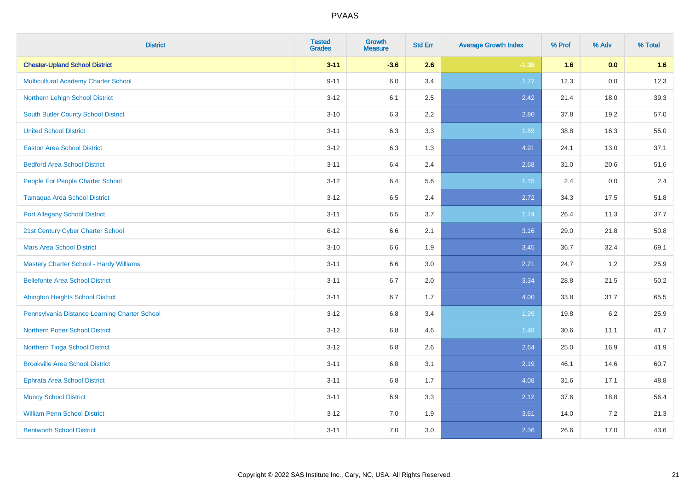| <b>District</b>                                | <b>Tested</b><br><b>Grades</b> | <b>Growth</b><br><b>Measure</b> | <b>Std Err</b> | <b>Average Growth Index</b> | % Prof | % Adv   | % Total |
|------------------------------------------------|--------------------------------|---------------------------------|----------------|-----------------------------|--------|---------|---------|
| <b>Chester-Upland School District</b>          | $3 - 11$                       | $-3.6$                          | 2.6            | $-1.38$                     | 1.6    | 0.0     | 1.6     |
| Multicultural Academy Charter School           | $9 - 11$                       | 6.0                             | 3.4            | 1.77                        | 12.3   | $0.0\,$ | 12.3    |
| Northern Lehigh School District                | $3 - 12$                       | 6.1                             | 2.5            | 2.42                        | 21.4   | 18.0    | 39.3    |
| South Butler County School District            | $3 - 10$                       | 6.3                             | 2.2            | 2.80                        | 37.8   | 19.2    | 57.0    |
| <b>United School District</b>                  | $3 - 11$                       | 6.3                             | 3.3            | 1.89                        | 38.8   | 16.3    | 55.0    |
| <b>Easton Area School District</b>             | $3 - 12$                       | 6.3                             | 1.3            | 4.91                        | 24.1   | 13.0    | 37.1    |
| <b>Bedford Area School District</b>            | $3 - 11$                       | 6.4                             | 2.4            | 2.68                        | 31.0   | 20.6    | 51.6    |
| People For People Charter School               | $3 - 12$                       | 6.4                             | 5.6            | 1.15                        | 2.4    | 0.0     | 2.4     |
| <b>Tamaqua Area School District</b>            | $3 - 12$                       | 6.5                             | 2.4            | 2.72                        | 34.3   | 17.5    | 51.8    |
| <b>Port Allegany School District</b>           | $3 - 11$                       | 6.5                             | 3.7            | 1.74                        | 26.4   | 11.3    | 37.7    |
| 21st Century Cyber Charter School              | $6 - 12$                       | 6.6                             | 2.1            | 3.16                        | 29.0   | 21.8    | 50.8    |
| <b>Mars Area School District</b>               | $3 - 10$                       | 6.6                             | 1.9            | 3.45                        | 36.7   | 32.4    | 69.1    |
| <b>Mastery Charter School - Hardy Williams</b> | $3 - 11$                       | 6.6                             | 3.0            | 2.21                        | 24.7   | $1.2$   | 25.9    |
| <b>Bellefonte Area School District</b>         | $3 - 11$                       | 6.7                             | 2.0            | 3.34                        | 28.8   | 21.5    | 50.2    |
| <b>Abington Heights School District</b>        | $3 - 11$                       | 6.7                             | 1.7            | 4.00                        | 33.8   | 31.7    | 65.5    |
| Pennsylvania Distance Learning Charter School  | $3 - 12$                       | 6.8                             | 3.4            | 1.99                        | 19.8   | $6.2\,$ | 25.9    |
| <b>Northern Potter School District</b>         | $3 - 12$                       | 6.8                             | 4.6            | 1.48                        | 30.6   | 11.1    | 41.7    |
| Northern Tioga School District                 | $3 - 12$                       | 6.8                             | 2.6            | 2.64                        | 25.0   | 16.9    | 41.9    |
| <b>Brookville Area School District</b>         | $3 - 11$                       | 6.8                             | 3.1            | 2.19                        | 46.1   | 14.6    | 60.7    |
| <b>Ephrata Area School District</b>            | $3 - 11$                       | 6.8                             | 1.7            | 4.08                        | 31.6   | 17.1    | 48.8    |
| <b>Muncy School District</b>                   | $3 - 11$                       | 6.9                             | 3.3            | 2.12                        | 37.6   | 18.8    | 56.4    |
| <b>William Penn School District</b>            | $3 - 12$                       | 7.0                             | 1.9            | 3.61                        | 14.0   | 7.2     | 21.3    |
| <b>Bentworth School District</b>               | $3 - 11$                       | 7.0                             | 3.0            | 2.36                        | 26.6   | 17.0    | 43.6    |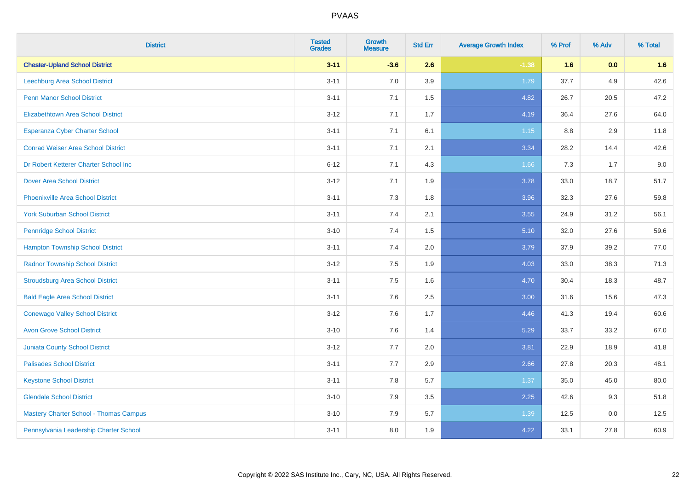| <b>District</b>                               | <b>Tested</b><br><b>Grades</b> | <b>Growth</b><br><b>Measure</b> | <b>Std Err</b> | <b>Average Growth Index</b> | % Prof | % Adv | % Total |
|-----------------------------------------------|--------------------------------|---------------------------------|----------------|-----------------------------|--------|-------|---------|
| <b>Chester-Upland School District</b>         | $3 - 11$                       | $-3.6$                          | 2.6            | $-1.38$                     | 1.6    | 0.0   | 1.6     |
| Leechburg Area School District                | $3 - 11$                       | 7.0                             | 3.9            | 1.79                        | 37.7   | 4.9   | 42.6    |
| <b>Penn Manor School District</b>             | $3 - 11$                       | 7.1                             | 1.5            | 4.82                        | 26.7   | 20.5  | 47.2    |
| <b>Elizabethtown Area School District</b>     | $3 - 12$                       | 7.1                             | 1.7            | 4.19                        | 36.4   | 27.6  | 64.0    |
| <b>Esperanza Cyber Charter School</b>         | $3 - 11$                       | 7.1                             | 6.1            | $1.15$                      | 8.8    | 2.9   | 11.8    |
| <b>Conrad Weiser Area School District</b>     | $3 - 11$                       | 7.1                             | 2.1            | 3.34                        | 28.2   | 14.4  | 42.6    |
| Dr Robert Ketterer Charter School Inc         | $6 - 12$                       | 7.1                             | 4.3            | 1.66                        | 7.3    | 1.7   | 9.0     |
| <b>Dover Area School District</b>             | $3 - 12$                       | 7.1                             | 1.9            | 3.78                        | 33.0   | 18.7  | 51.7    |
| <b>Phoenixville Area School District</b>      | $3 - 11$                       | 7.3                             | 1.8            | 3.96                        | 32.3   | 27.6  | 59.8    |
| <b>York Suburban School District</b>          | $3 - 11$                       | 7.4                             | 2.1            | 3.55                        | 24.9   | 31.2  | 56.1    |
| <b>Pennridge School District</b>              | $3 - 10$                       | 7.4                             | 1.5            | 5.10                        | 32.0   | 27.6  | 59.6    |
| <b>Hampton Township School District</b>       | $3 - 11$                       | 7.4                             | 2.0            | 3.79                        | 37.9   | 39.2  | 77.0    |
| <b>Radnor Township School District</b>        | $3 - 12$                       | 7.5                             | 1.9            | 4.03                        | 33.0   | 38.3  | 71.3    |
| <b>Stroudsburg Area School District</b>       | $3 - 11$                       | 7.5                             | 1.6            | 4.70                        | 30.4   | 18.3  | 48.7    |
| <b>Bald Eagle Area School District</b>        | $3 - 11$                       | 7.6                             | 2.5            | 3.00                        | 31.6   | 15.6  | 47.3    |
| <b>Conewago Valley School District</b>        | $3 - 12$                       | 7.6                             | 1.7            | 4.46                        | 41.3   | 19.4  | 60.6    |
| <b>Avon Grove School District</b>             | $3 - 10$                       | 7.6                             | 1.4            | 5.29                        | 33.7   | 33.2  | 67.0    |
| <b>Juniata County School District</b>         | $3 - 12$                       | 7.7                             | 2.0            | 3.81                        | 22.9   | 18.9  | 41.8    |
| <b>Palisades School District</b>              | $3 - 11$                       | 7.7                             | 2.9            | 2.66                        | 27.8   | 20.3  | 48.1    |
| <b>Keystone School District</b>               | $3 - 11$                       | 7.8                             | 5.7            | 1.37                        | 35.0   | 45.0  | 80.0    |
| <b>Glendale School District</b>               | $3 - 10$                       | 7.9                             | $3.5\,$        | 2.25                        | 42.6   | 9.3   | 51.8    |
| <b>Mastery Charter School - Thomas Campus</b> | $3 - 10$                       | 7.9                             | 5.7            | 1.39                        | 12.5   | 0.0   | 12.5    |
| Pennsylvania Leadership Charter School        | $3 - 11$                       | 8.0                             | 1.9            | 4.22                        | 33.1   | 27.8  | 60.9    |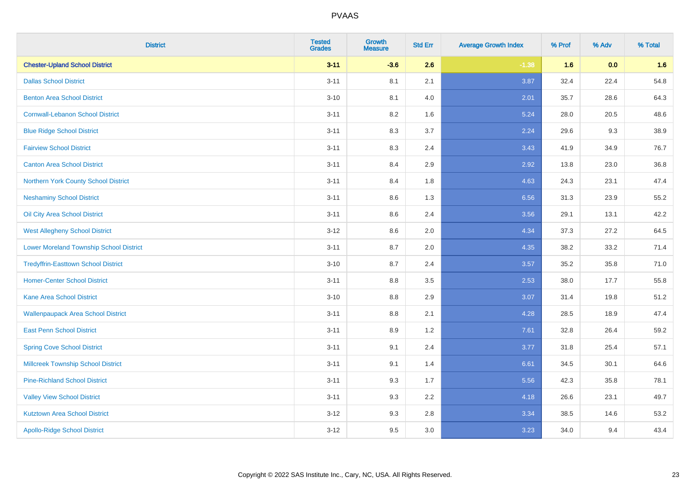| <b>District</b>                                | <b>Tested</b><br><b>Grades</b> | <b>Growth</b><br><b>Measure</b> | <b>Std Err</b> | <b>Average Growth Index</b> | % Prof | % Adv | % Total |
|------------------------------------------------|--------------------------------|---------------------------------|----------------|-----------------------------|--------|-------|---------|
| <b>Chester-Upland School District</b>          | $3 - 11$                       | $-3.6$                          | 2.6            | $-1.38$                     | 1.6    | 0.0   | 1.6     |
| <b>Dallas School District</b>                  | $3 - 11$                       | 8.1                             | 2.1            | 3.87                        | 32.4   | 22.4  | 54.8    |
| <b>Benton Area School District</b>             | $3 - 10$                       | 8.1                             | 4.0            | 2.01                        | 35.7   | 28.6  | 64.3    |
| <b>Cornwall-Lebanon School District</b>        | $3 - 11$                       | 8.2                             | 1.6            | 5.24                        | 28.0   | 20.5  | 48.6    |
| <b>Blue Ridge School District</b>              | $3 - 11$                       | 8.3                             | 3.7            | 2.24                        | 29.6   | 9.3   | 38.9    |
| <b>Fairview School District</b>                | $3 - 11$                       | 8.3                             | 2.4            | 3.43                        | 41.9   | 34.9  | 76.7    |
| <b>Canton Area School District</b>             | $3 - 11$                       | 8.4                             | 2.9            | 2.92                        | 13.8   | 23.0  | 36.8    |
| Northern York County School District           | $3 - 11$                       | 8.4                             | 1.8            | 4.63                        | 24.3   | 23.1  | 47.4    |
| <b>Neshaminy School District</b>               | $3 - 11$                       | 8.6                             | 1.3            | 6.56                        | 31.3   | 23.9  | 55.2    |
| Oil City Area School District                  | $3 - 11$                       | 8.6                             | 2.4            | 3.56                        | 29.1   | 13.1  | 42.2    |
| <b>West Allegheny School District</b>          | $3-12$                         | 8.6                             | 2.0            | 4.34                        | 37.3   | 27.2  | 64.5    |
| <b>Lower Moreland Township School District</b> | $3 - 11$                       | 8.7                             | 2.0            | 4.35                        | 38.2   | 33.2  | 71.4    |
| <b>Tredyffrin-Easttown School District</b>     | $3 - 10$                       | 8.7                             | 2.4            | 3.57                        | 35.2   | 35.8  | 71.0    |
| <b>Homer-Center School District</b>            | $3 - 11$                       | 8.8                             | 3.5            | 2.53                        | 38.0   | 17.7  | 55.8    |
| <b>Kane Area School District</b>               | $3 - 10$                       | 8.8                             | 2.9            | 3.07                        | 31.4   | 19.8  | 51.2    |
| <b>Wallenpaupack Area School District</b>      | $3 - 11$                       | $8.8\,$                         | 2.1            | 4.28                        | 28.5   | 18.9  | 47.4    |
| <b>East Penn School District</b>               | $3 - 11$                       | 8.9                             | 1.2            | 7.61                        | 32.8   | 26.4  | 59.2    |
| <b>Spring Cove School District</b>             | $3 - 11$                       | 9.1                             | 2.4            | 3.77                        | 31.8   | 25.4  | 57.1    |
| <b>Millcreek Township School District</b>      | $3 - 11$                       | 9.1                             | 1.4            | 6.61                        | 34.5   | 30.1  | 64.6    |
| <b>Pine-Richland School District</b>           | $3 - 11$                       | 9.3                             | 1.7            | 5.56                        | 42.3   | 35.8  | 78.1    |
| <b>Valley View School District</b>             | $3 - 11$                       | 9.3                             | 2.2            | 4.18                        | 26.6   | 23.1  | 49.7    |
| <b>Kutztown Area School District</b>           | $3-12$                         | 9.3                             | 2.8            | 3.34                        | 38.5   | 14.6  | 53.2    |
| <b>Apollo-Ridge School District</b>            | $3 - 12$                       | 9.5                             | 3.0            | 3.23                        | 34.0   | 9.4   | 43.4    |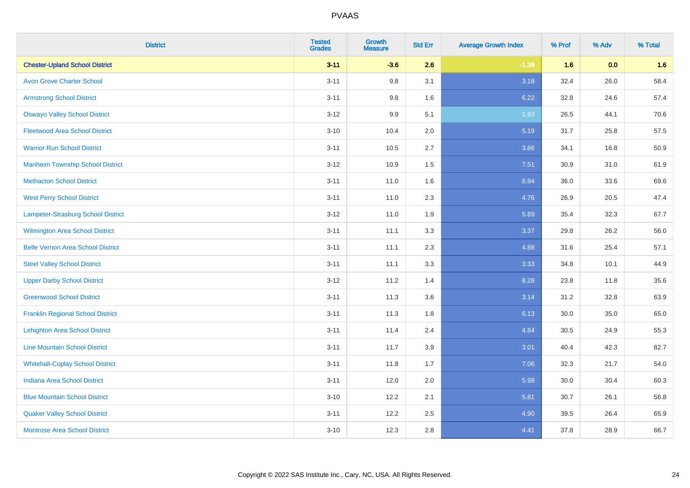| <b>District</b>                          | <b>Tested</b><br><b>Grades</b> | <b>Growth</b><br><b>Measure</b> | <b>Std Err</b> | <b>Average Growth Index</b> | % Prof | % Adv | % Total |
|------------------------------------------|--------------------------------|---------------------------------|----------------|-----------------------------|--------|-------|---------|
| <b>Chester-Upland School District</b>    | $3 - 11$                       | $-3.6$                          | 2.6            | $-1.38$                     | 1.6    | 0.0   | 1.6     |
| <b>Avon Grove Charter School</b>         | $3 - 11$                       | 9.8                             | 3.1            | 3.18                        | 32.4   | 26.0  | 58.4    |
| <b>Armstrong School District</b>         | $3 - 11$                       | 9.8                             | 1.6            | 6.22                        | 32.8   | 24.6  | 57.4    |
| <b>Oswayo Valley School District</b>     | $3 - 12$                       | 9.9                             | 5.1            | 1.93                        | 26.5   | 44.1  | 70.6    |
| <b>Fleetwood Area School District</b>    | $3 - 10$                       | 10.4                            | 2.0            | 5.19                        | 31.7   | 25.8  | 57.5    |
| <b>Warrior Run School District</b>       | $3 - 11$                       | 10.5                            | 2.7            | 3.86                        | 34.1   | 16.8  | 50.9    |
| <b>Manheim Township School District</b>  | $3-12$                         | 10.9                            | 1.5            | 7.51                        | 30.9   | 31.0  | 61.9    |
| <b>Methacton School District</b>         | $3 - 11$                       | 11.0                            | 1.6            | 6.94                        | 36.0   | 33.6  | 69.6    |
| <b>West Perry School District</b>        | $3 - 11$                       | 11.0                            | 2.3            | 4.76                        | 26.9   | 20.5  | 47.4    |
| Lampeter-Strasburg School District       | $3 - 12$                       | 11.0                            | 1.9            | 5.69                        | 35.4   | 32.3  | 67.7    |
| <b>Wilmington Area School District</b>   | $3 - 11$                       | 11.1                            | 3.3            | 3.37                        | 29.8   | 26.2  | 56.0    |
| <b>Belle Vernon Area School District</b> | $3 - 11$                       | 11.1                            | 2.3            | 4.88                        | 31.6   | 25.4  | 57.1    |
| <b>Steel Valley School District</b>      | $3 - 11$                       | 11.1                            | 3.3            | 3.33                        | 34.8   | 10.1  | 44.9    |
| <b>Upper Darby School District</b>       | $3 - 12$                       | 11.2                            | 1.4            | 8.28                        | 23.8   | 11.8  | 35.6    |
| <b>Greenwood School District</b>         | $3 - 11$                       | 11.3                            | 3.6            | 3.14                        | 31.2   | 32.8  | 63.9    |
| <b>Franklin Regional School District</b> | $3 - 11$                       | 11.3                            | 1.8            | 6.13                        | 30.0   | 35.0  | 65.0    |
| <b>Lehighton Area School District</b>    | $3 - 11$                       | 11.4                            | 2.4            | 4.84                        | 30.5   | 24.9  | 55.3    |
| <b>Line Mountain School District</b>     | $3 - 11$                       | 11.7                            | 3.9            | 3.01                        | 40.4   | 42.3  | 82.7    |
| <b>Whitehall-Coplay School District</b>  | $3 - 11$                       | 11.8                            | 1.7            | 7.06                        | 32.3   | 21.7  | 54.0    |
| <b>Indiana Area School District</b>      | $3 - 11$                       | 12.0                            | 2.0            | 5.98                        | 30.0   | 30.4  | 60.3    |
| <b>Blue Mountain School District</b>     | $3 - 10$                       | 12.2                            | 2.1            | 5.81                        | 30.7   | 26.1  | 56.8    |
| <b>Quaker Valley School District</b>     | $3 - 11$                       | 12.2                            | 2.5            | 4.90                        | 39.5   | 26.4  | 65.9    |
| <b>Montrose Area School District</b>     | $3 - 10$                       | 12.3                            | 2.8            | 4.41                        | 37.8   | 28.9  | 66.7    |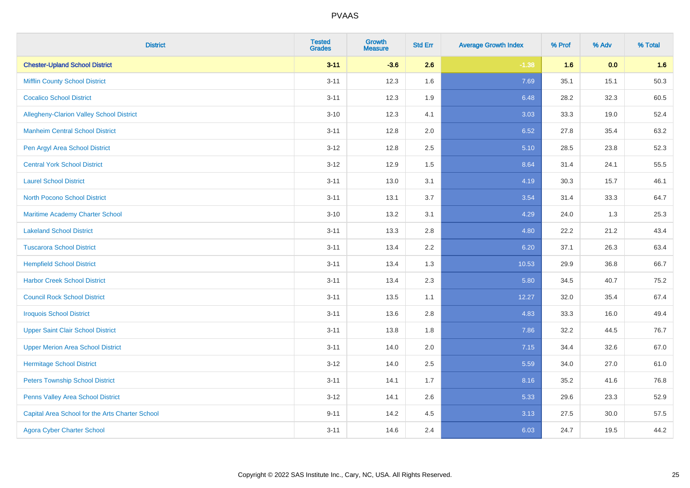| <b>District</b>                                 | <b>Tested</b><br><b>Grades</b> | <b>Growth</b><br><b>Measure</b> | <b>Std Err</b> | <b>Average Growth Index</b> | % Prof | % Adv | % Total |
|-------------------------------------------------|--------------------------------|---------------------------------|----------------|-----------------------------|--------|-------|---------|
| <b>Chester-Upland School District</b>           | $3 - 11$                       | $-3.6$                          | 2.6            | $-1.38$                     | 1.6    | 0.0   | 1.6     |
| <b>Mifflin County School District</b>           | $3 - 11$                       | 12.3                            | 1.6            | 7.69                        | 35.1   | 15.1  | 50.3    |
| <b>Cocalico School District</b>                 | $3 - 11$                       | 12.3                            | 1.9            | 6.48                        | 28.2   | 32.3  | 60.5    |
| Allegheny-Clarion Valley School District        | $3 - 10$                       | 12.3                            | 4.1            | 3.03                        | 33.3   | 19.0  | 52.4    |
| <b>Manheim Central School District</b>          | $3 - 11$                       | 12.8                            | 2.0            | 6.52                        | 27.8   | 35.4  | 63.2    |
| Pen Argyl Area School District                  | $3 - 12$                       | 12.8                            | 2.5            | 5.10                        | 28.5   | 23.8  | 52.3    |
| <b>Central York School District</b>             | $3 - 12$                       | 12.9                            | 1.5            | 8.64                        | 31.4   | 24.1  | 55.5    |
| <b>Laurel School District</b>                   | $3 - 11$                       | 13.0                            | 3.1            | 4.19                        | 30.3   | 15.7  | 46.1    |
| <b>North Pocono School District</b>             | $3 - 11$                       | 13.1                            | 3.7            | 3.54                        | 31.4   | 33.3  | 64.7    |
| <b>Maritime Academy Charter School</b>          | $3 - 10$                       | 13.2                            | 3.1            | 4.29                        | 24.0   | 1.3   | 25.3    |
| <b>Lakeland School District</b>                 | $3 - 11$                       | 13.3                            | 2.8            | 4.80                        | 22.2   | 21.2  | 43.4    |
| <b>Tuscarora School District</b>                | $3 - 11$                       | 13.4                            | 2.2            | 6.20                        | 37.1   | 26.3  | 63.4    |
| <b>Hempfield School District</b>                | $3 - 11$                       | 13.4                            | 1.3            | 10.53                       | 29.9   | 36.8  | 66.7    |
| <b>Harbor Creek School District</b>             | $3 - 11$                       | 13.4                            | 2.3            | 5.80                        | 34.5   | 40.7  | 75.2    |
| <b>Council Rock School District</b>             | $3 - 11$                       | 13.5                            | 1.1            | 12.27                       | 32.0   | 35.4  | 67.4    |
| <b>Iroquois School District</b>                 | $3 - 11$                       | 13.6                            | 2.8            | 4.83                        | 33.3   | 16.0  | 49.4    |
| <b>Upper Saint Clair School District</b>        | $3 - 11$                       | 13.8                            | 1.8            | 7.86                        | 32.2   | 44.5  | 76.7    |
| <b>Upper Merion Area School District</b>        | $3 - 11$                       | 14.0                            | 2.0            | 7.15                        | 34.4   | 32.6  | 67.0    |
| <b>Hermitage School District</b>                | $3 - 12$                       | 14.0                            | 2.5            | 5.59                        | 34.0   | 27.0  | 61.0    |
| <b>Peters Township School District</b>          | $3 - 11$                       | 14.1                            | 1.7            | 8.16                        | 35.2   | 41.6  | 76.8    |
| Penns Valley Area School District               | $3 - 12$                       | 14.1                            | 2.6            | 5.33                        | 29.6   | 23.3  | 52.9    |
| Capital Area School for the Arts Charter School | $9 - 11$                       | 14.2                            | 4.5            | 3.13                        | 27.5   | 30.0  | 57.5    |
| <b>Agora Cyber Charter School</b>               | $3 - 11$                       | 14.6                            | 2.4            | 6.03                        | 24.7   | 19.5  | 44.2    |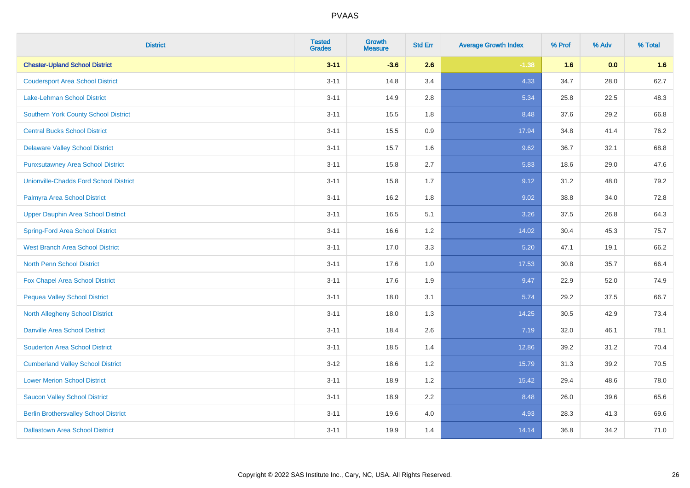| <b>District</b>                              | <b>Tested</b><br><b>Grades</b> | <b>Growth</b><br><b>Measure</b> | <b>Std Err</b> | <b>Average Growth Index</b> | % Prof | % Adv | % Total |
|----------------------------------------------|--------------------------------|---------------------------------|----------------|-----------------------------|--------|-------|---------|
| <b>Chester-Upland School District</b>        | $3 - 11$                       | $-3.6$                          | 2.6            | $-1.38$                     | 1.6    | 0.0   | 1.6     |
| <b>Coudersport Area School District</b>      | $3 - 11$                       | 14.8                            | 3.4            | 4.33                        | 34.7   | 28.0  | 62.7    |
| Lake-Lehman School District                  | $3 - 11$                       | 14.9                            | 2.8            | 5.34                        | 25.8   | 22.5  | 48.3    |
| <b>Southern York County School District</b>  | $3 - 11$                       | 15.5                            | 1.8            | 8.48                        | 37.6   | 29.2  | 66.8    |
| <b>Central Bucks School District</b>         | $3 - 11$                       | 15.5                            | 0.9            | 17.94                       | 34.8   | 41.4  | 76.2    |
| <b>Delaware Valley School District</b>       | $3 - 11$                       | 15.7                            | 1.6            | 9.62                        | 36.7   | 32.1  | 68.8    |
| <b>Punxsutawney Area School District</b>     | $3 - 11$                       | 15.8                            | 2.7            | 5.83                        | 18.6   | 29.0  | 47.6    |
| Unionville-Chadds Ford School District       | $3 - 11$                       | 15.8                            | 1.7            | 9.12                        | 31.2   | 48.0  | 79.2    |
| Palmyra Area School District                 | $3 - 11$                       | 16.2                            | 1.8            | 9.02                        | 38.8   | 34.0  | 72.8    |
| <b>Upper Dauphin Area School District</b>    | $3 - 11$                       | 16.5                            | 5.1            | 3.26                        | 37.5   | 26.8  | 64.3    |
| <b>Spring-Ford Area School District</b>      | $3 - 11$                       | 16.6                            | 1.2            | 14.02                       | 30.4   | 45.3  | 75.7    |
| <b>West Branch Area School District</b>      | $3 - 11$                       | 17.0                            | 3.3            | 5.20                        | 47.1   | 19.1  | 66.2    |
| North Penn School District                   | $3 - 11$                       | 17.6                            | 1.0            | 17.53                       | 30.8   | 35.7  | 66.4    |
| <b>Fox Chapel Area School District</b>       | $3 - 11$                       | 17.6                            | 1.9            | 9.47                        | 22.9   | 52.0  | 74.9    |
| <b>Pequea Valley School District</b>         | $3 - 11$                       | 18.0                            | 3.1            | 5.74                        | 29.2   | 37.5  | 66.7    |
| <b>North Allegheny School District</b>       | $3 - 11$                       | 18.0                            | 1.3            | 14.25                       | 30.5   | 42.9  | 73.4    |
| <b>Danville Area School District</b>         | $3 - 11$                       | 18.4                            | 2.6            | 7.19                        | 32.0   | 46.1  | 78.1    |
| <b>Souderton Area School District</b>        | $3 - 11$                       | 18.5                            | 1.4            | 12.86                       | 39.2   | 31.2  | 70.4    |
| <b>Cumberland Valley School District</b>     | $3 - 12$                       | 18.6                            | 1.2            | 15.79                       | 31.3   | 39.2  | 70.5    |
| <b>Lower Merion School District</b>          | $3 - 11$                       | 18.9                            | 1.2            | 15.42                       | 29.4   | 48.6  | 78.0    |
| <b>Saucon Valley School District</b>         | $3 - 11$                       | 18.9                            | 2.2            | 8.48                        | 26.0   | 39.6  | 65.6    |
| <b>Berlin Brothersvalley School District</b> | $3 - 11$                       | 19.6                            | 4.0            | 4.93                        | 28.3   | 41.3  | 69.6    |
| <b>Dallastown Area School District</b>       | $3 - 11$                       | 19.9                            | 1.4            | 14.14                       | 36.8   | 34.2  | 71.0    |